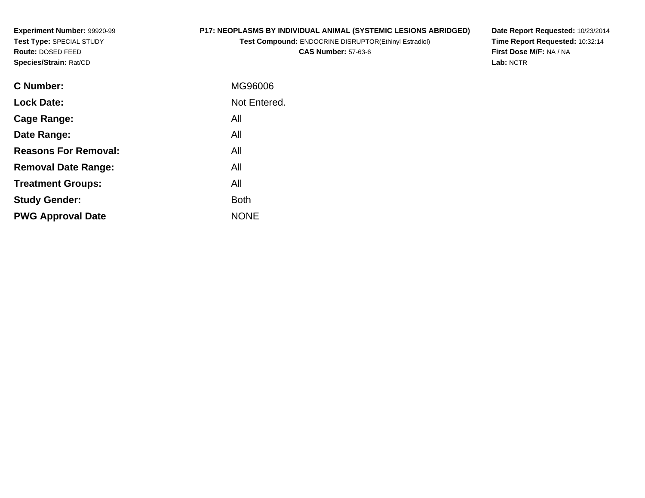**Experiment Number:** 99920-99**Test Type:** SPECIAL STUDY**Route:** DOSED FEED**Species/Strain:** Rat/CD

## **P17: NEOPLASMS BY INDIVIDUAL ANIMAL (SYSTEMIC LESIONS ABRIDGED)**

**Test Compound:** ENDOCRINE DISRUPTOR(Ethinyl Estradiol)**CAS Number:** 57-63-6

**Date Report Requested:** 10/23/2014 **Time Report Requested:** 10:32:14**First Dose M/F:** NA / NA**Lab:** NCTR

| <b>C</b> Number:            | MG96006      |
|-----------------------------|--------------|
| <b>Lock Date:</b>           | Not Entered. |
| <b>Cage Range:</b>          | All          |
| Date Range:                 | All          |
| <b>Reasons For Removal:</b> | All          |
| <b>Removal Date Range:</b>  | All          |
| <b>Treatment Groups:</b>    | All          |
| <b>Study Gender:</b>        | <b>Both</b>  |
| <b>PWG Approval Date</b>    | <b>NONE</b>  |
|                             |              |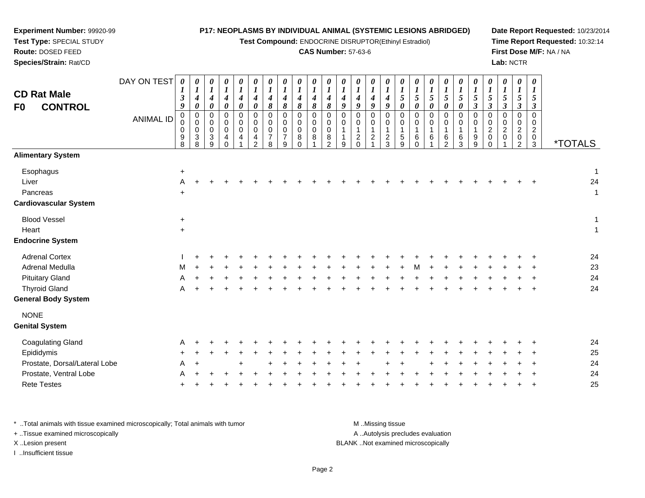| Test Type: SPECIAL STUDY<br>Route: DOSED FEED<br>Species/Strain: Rat/CD                                                  |                  |                                               |                                                                                        |                                             |                                                          |                                                                         |                                              |                                                                          |                                        |                                                        |                                                     | <b>CAS Number: 57-63-6</b>                                              |                                                            |                                                             | Test Compound: ENDOCRINE DISRUPTOR(Ethinyl Estradiol) |                                                |                                                       |                                              |                                                       |                                                     |                                                          |                                               |                                                                       |                                                | Lab: NCTR                                                           |                                                    | Time Report Requested: 10:32:14<br>First Dose M/F: NA / NA |
|--------------------------------------------------------------------------------------------------------------------------|------------------|-----------------------------------------------|----------------------------------------------------------------------------------------|---------------------------------------------|----------------------------------------------------------|-------------------------------------------------------------------------|----------------------------------------------|--------------------------------------------------------------------------|----------------------------------------|--------------------------------------------------------|-----------------------------------------------------|-------------------------------------------------------------------------|------------------------------------------------------------|-------------------------------------------------------------|-------------------------------------------------------|------------------------------------------------|-------------------------------------------------------|----------------------------------------------|-------------------------------------------------------|-----------------------------------------------------|----------------------------------------------------------|-----------------------------------------------|-----------------------------------------------------------------------|------------------------------------------------|---------------------------------------------------------------------|----------------------------------------------------|------------------------------------------------------------|
| <b>CD Rat Male</b><br><b>CONTROL</b><br>F <sub>0</sub>                                                                   | DAY ON TEST      | 0<br>3<br>9                                   | $\boldsymbol{\theta}$<br>$\boldsymbol{l}$<br>$\boldsymbol{4}$<br>$\boldsymbol{\theta}$ | 0<br>$\boldsymbol{l}$<br>$\frac{4}{\theta}$ | 0<br>$\boldsymbol{l}$<br>4<br>$\pmb{\theta}$             | $\boldsymbol{\theta}$<br>$\boldsymbol{l}$<br>4<br>$\boldsymbol{\theta}$ | 0<br>$\boldsymbol{l}$<br>4<br>$\pmb{\theta}$ | 0<br>$\boldsymbol{l}$<br>4<br>$\pmb{8}$                                  | 0<br>$\boldsymbol{l}$<br>4<br>8        | 0<br>$\boldsymbol{l}$<br>$\frac{4}{8}$                 | $\boldsymbol{\theta}$<br>$\boldsymbol{l}$<br>4<br>8 | $\boldsymbol{\theta}$<br>$\boldsymbol{l}$<br>4<br>$\boldsymbol{\delta}$ | $\boldsymbol{\theta}$<br>$\boldsymbol{l}$<br>$\frac{4}{9}$ | $\boldsymbol{\theta}$<br>$\boldsymbol{l}$<br>$\frac{4}{9}$  | 0<br>$\boldsymbol{l}$<br>$\frac{4}{9}$                | 0<br>$\boldsymbol{l}$<br>$\boldsymbol{4}$<br>9 | 0<br>$\boldsymbol{l}$<br>$\sqrt{5}$<br>$\pmb{\theta}$ | 0<br>$\boldsymbol{l}$<br>5<br>$\pmb{\theta}$ | 0<br>$\boldsymbol{l}$<br>$\sqrt{5}$<br>$\pmb{\theta}$ | 0<br>$\boldsymbol{l}$<br>5<br>$\boldsymbol{\theta}$ | $\boldsymbol{\theta}$<br>$\bm{l}$<br>5<br>$\pmb{\theta}$ | $\theta$<br>1<br>5<br>$\overline{\mathbf{3}}$ | 0<br>$\boldsymbol{l}$<br>5<br>$\overline{\mathbf{3}}$                 | 0<br>1<br>5<br>$\mathfrak{z}$                  | $\theta$<br>$\bm{l}$<br>5<br>$\mathfrak{z}$                         | 0<br>$\boldsymbol{l}$<br>5<br>$\boldsymbol{\beta}$ |                                                            |
|                                                                                                                          | <b>ANIMAL ID</b> | $\mathbf 0$<br>$\Omega$<br>0<br>$\frac{9}{8}$ | 0<br>0<br>$\mathbf 0$<br>$\ensuremath{\mathsf{3}}$<br>$\overline{8}$                   | 0<br>0<br>0<br>$\frac{3}{9}$                | $\pmb{0}$<br>$\mathbf 0$<br>$\mathbf 0$<br>4<br>$\Omega$ | $\mathbf 0$<br>0<br>$\mathbf 0$<br>4                                    | $\mathbf 0$<br>0<br>0<br>4<br>$\mathcal{P}$  | $\mathbf 0$<br>$\Omega$<br>$\mathbf 0$<br>$\overline{7}$<br>$\mathbf{8}$ | $\Omega$<br>0<br>$\mathbf 0$<br>7<br>9 | $\mathbf 0$<br>0<br>$\mathbf 0$<br>$\bf 8$<br>$\Omega$ | $\mathbf 0$<br>$\mathbf 0$<br>$\pmb{0}$<br>8<br>1   | $\mathbf 0$<br>0<br>0<br>$\,8\,$<br>$\overline{2}$                      | $\pmb{0}$<br>0<br>-1<br>$\mathbf{1}$<br>9                  | $\mathbf 0$<br>$\mathbf 0$<br>$\mathbf{1}$<br>$\frac{2}{0}$ | $\pmb{0}$<br>0<br>$\mathbf{1}$<br>$\overline{c}$      | $\mathbf 0$<br>0<br>-1<br>$\frac{2}{3}$        | $\mathbf 0$<br>0<br>$\mathbf{1}$<br>$\frac{5}{9}$     | $\mathbf 0$<br>0<br>1<br>6<br>$\Omega$       | $\mathbf 0$<br>0<br>$\mathbf{1}$<br>6                 | $\Omega$<br>0<br>1<br>6<br>$\mathcal{P}$            | $\Omega$<br>$\Omega$<br>$\frac{6}{3}$                    | $\Omega$<br>0<br>1<br>9<br>$\overline{9}$     | $\mathbf 0$<br>0<br>$\overline{c}$<br>$\mathsf{O}\xspace$<br>$\Omega$ | $\mathbf 0$<br>$\Omega$<br>$\overline{2}$<br>0 | $\mathbf 0$<br>0<br>$\overline{2}$<br>$\mathbf 0$<br>$\overline{2}$ | $\Omega$<br>$\Omega$<br>$\overline{2}$<br>0<br>3   | <i><b>*TOTALS</b></i>                                      |
| <b>Alimentary System</b>                                                                                                 |                  |                                               |                                                                                        |                                             |                                                          |                                                                         |                                              |                                                                          |                                        |                                                        |                                                     |                                                                         |                                                            |                                                             |                                                       |                                                |                                                       |                                              |                                                       |                                                     |                                                          |                                               |                                                                       |                                                |                                                                     |                                                    |                                                            |
| Esophagus<br>Liver<br>Pancreas<br><b>Cardiovascular System</b>                                                           |                  | $\ddot{}$<br>A                                |                                                                                        |                                             |                                                          |                                                                         |                                              |                                                                          |                                        |                                                        |                                                     |                                                                         |                                                            |                                                             |                                                       |                                                |                                                       |                                              |                                                       |                                                     |                                                          |                                               |                                                                       |                                                |                                                                     |                                                    | -1<br>24<br>-1                                             |
| <b>Blood Vessel</b><br>Heart<br><b>Endocrine System</b>                                                                  |                  | $\ddot{}$<br>$\ddot{}$                        |                                                                                        |                                             |                                                          |                                                                         |                                              |                                                                          |                                        |                                                        |                                                     |                                                                         |                                                            |                                                             |                                                       |                                                |                                                       |                                              |                                                       |                                                     |                                                          |                                               |                                                                       |                                                |                                                                     |                                                    | -1<br>1                                                    |
| <b>Adrenal Cortex</b><br>Adrenal Medulla<br><b>Pituitary Gland</b><br><b>Thyroid Gland</b><br><b>General Body System</b> |                  | м<br>A                                        |                                                                                        |                                             |                                                          |                                                                         |                                              |                                                                          |                                        |                                                        |                                                     |                                                                         |                                                            |                                                             |                                                       |                                                |                                                       |                                              |                                                       |                                                     |                                                          |                                               |                                                                       |                                                |                                                                     |                                                    | 24<br>23<br>24<br>24                                       |
| <b>NONE</b><br><b>Genital System</b>                                                                                     |                  |                                               |                                                                                        |                                             |                                                          |                                                                         |                                              |                                                                          |                                        |                                                        |                                                     |                                                                         |                                                            |                                                             |                                                       |                                                |                                                       |                                              |                                                       |                                                     |                                                          |                                               |                                                                       |                                                |                                                                     |                                                    |                                                            |
| <b>Coagulating Gland</b><br>Epididymis<br>Prostate, Dorsal/Lateral Lobe<br>Prostate, Ventral Lobe<br><b>Rete Testes</b>  |                  | A                                             |                                                                                        |                                             |                                                          |                                                                         |                                              |                                                                          |                                        |                                                        |                                                     |                                                                         |                                                            |                                                             |                                                       |                                                |                                                       |                                              |                                                       |                                                     |                                                          |                                               |                                                                       |                                                |                                                                     |                                                    | 24<br>25<br>24<br>24<br>25                                 |

**Date Report Requested:** 10/23/2014

\* ..Total animals with tissue examined microscopically; Total animals with tumor M..Missing tissue M ..Missing tissue A ..Autolysis precludes evaluation + ..Tissue examined microscopically X ..Lesion present BLANK ..Not examined microscopicallyI ..Insufficient tissue

**Experiment Number:** 99920-99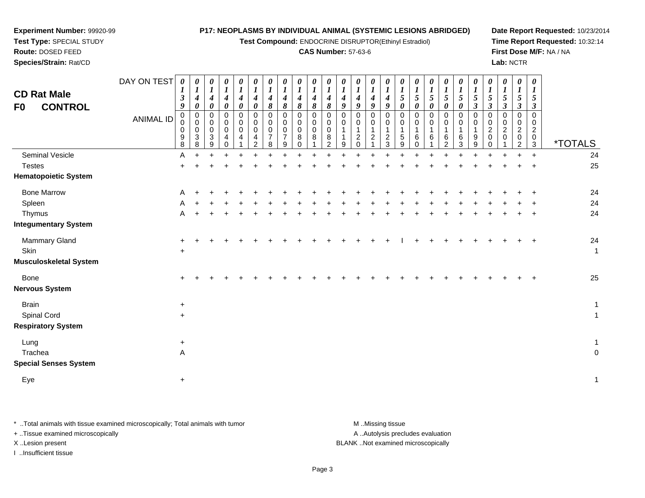**Test Compound:** ENDOCRINE DISRUPTOR(Ethinyl Estradiol)

#### **CAS Number:** 57-63-6

**Date Report Requested:** 10/23/2014**Time Report Requested:** 10:32:14**First Dose M/F:** NA / NA**Lab:** NCTR

| <b>CD Rat Male</b><br><b>CONTROL</b><br>F0 | DAY ON TEST<br><b>ANIMAL ID</b> | $\boldsymbol{\theta}$<br>$\boldsymbol{l}$<br>$\boldsymbol{\beta}$<br>9<br>$\pmb{0}$<br>0<br>9<br>8 | 0<br>$\boldsymbol{l}$<br>4<br>$\boldsymbol{\theta}$<br>$\pmb{0}$<br>$\,0\,$<br>$\,0\,$<br>3<br>8 | 0<br>$\boldsymbol{l}$<br>4<br>0<br>0<br>0<br>$\pmb{0}$<br>$\mathbf{3}$<br>9 | 0<br>$\boldsymbol{l}$<br>$\boldsymbol{4}$<br>$\pmb{\theta}$<br>0<br>$\pmb{0}$<br>$\pmb{0}$<br>4<br>$\Omega$ | 0<br>$\boldsymbol{l}$<br>$\boldsymbol{4}$<br>$\boldsymbol{\theta}$<br>$\pmb{0}$<br>$\pmb{0}$<br>$\pmb{0}$<br>$\overline{4}$ | 0<br>$\boldsymbol{l}$<br>$\boldsymbol{4}$<br>$\boldsymbol{\theta}$<br>$\pmb{0}$<br>$\,0\,$<br>$\pmb{0}$<br>4<br>2 | 0<br>$\boldsymbol{l}$<br>4<br>8<br>0<br>0<br>0<br>$\overline{7}$<br>8 | 0<br>$\boldsymbol{l}$<br>$\boldsymbol{4}$<br>8<br>$\mathbf 0$<br>0<br>$\mathbf 0$<br>$\overline{7}$<br>9 | 0<br>$\boldsymbol{l}$<br>4<br>8<br>$\Omega$<br>$\Omega$<br>0<br>8<br>$\Omega$ | 0<br>$\boldsymbol{l}$<br>4<br>8<br>$\mathbf 0$<br>0<br>$\mathbf 0$<br>8 | 0<br>$\boldsymbol{l}$<br>4<br>8<br>0<br>0<br>$\mathsf 0$<br>8<br>$\mathcal{P}$ | 0<br>$\boldsymbol{l}$<br>$\boldsymbol{4}$<br>9<br>0<br>0<br>9 | 0<br>$\boldsymbol{l}$<br>4<br>9<br>0<br>0<br>$\mathbf{1}$<br>$\boldsymbol{2}$<br>$\Omega$ | 0<br>$\boldsymbol{l}$<br>$\boldsymbol{4}$<br>9<br>$\pmb{0}$<br>0<br>1<br>$\boldsymbol{2}$ | 0<br>$\boldsymbol{l}$<br>4<br>9<br>$\mathbf 0$<br>0<br>$\mathbf{1}$<br>$\frac{2}{3}$ | 0<br>$\boldsymbol{l}$<br>$\sqrt{5}$<br>$\boldsymbol{\theta}$<br>$\mathbf 0$<br>0<br>$\mathbf 1$<br>$\,$ 5 $\,$<br>9 | 0<br>$\boldsymbol{l}$<br>5<br>$\boldsymbol{\theta}$<br>$\Omega$<br>6<br>$\Omega$ | 0<br>$\boldsymbol{l}$<br>5<br>0<br>$\mathbf 0$<br>0<br>6 | 0<br>$\boldsymbol{l}$<br>5<br>0<br>0<br>0<br>6<br>2 | 0<br>$\boldsymbol{l}$<br>5<br>$\pmb{\theta}$<br>0<br>0<br>6<br>3 | 0<br>$\boldsymbol{l}$<br>5<br>$\boldsymbol{\beta}$<br>$\pmb{0}$<br>$\pmb{0}$<br>$\mathbf{1}$<br>$\boldsymbol{9}$<br>9 | 0<br>$\boldsymbol{l}$<br>5<br>$\boldsymbol{\beta}$<br>$\pmb{0}$<br>0<br>$\overline{c}$<br>0<br>$\Omega$ | 0<br>$\boldsymbol{l}$<br>5<br>$\boldsymbol{\beta}$<br>$\mathbf 0$<br>0<br>$\overline{c}$<br>0 | 0<br>$\boldsymbol{l}$<br>5<br>3<br>0<br>0<br>$\overline{c}$<br>0<br>$\overline{2}$ | 0<br>$\boldsymbol{l}$<br>5<br>$\boldsymbol{\beta}$<br>$\Omega$<br>$\Omega$<br>$\overline{c}$<br>0<br>3 | <i><b>*TOTALS</b></i> |
|--------------------------------------------|---------------------------------|----------------------------------------------------------------------------------------------------|--------------------------------------------------------------------------------------------------|-----------------------------------------------------------------------------|-------------------------------------------------------------------------------------------------------------|-----------------------------------------------------------------------------------------------------------------------------|-------------------------------------------------------------------------------------------------------------------|-----------------------------------------------------------------------|----------------------------------------------------------------------------------------------------------|-------------------------------------------------------------------------------|-------------------------------------------------------------------------|--------------------------------------------------------------------------------|---------------------------------------------------------------|-------------------------------------------------------------------------------------------|-------------------------------------------------------------------------------------------|--------------------------------------------------------------------------------------|---------------------------------------------------------------------------------------------------------------------|----------------------------------------------------------------------------------|----------------------------------------------------------|-----------------------------------------------------|------------------------------------------------------------------|-----------------------------------------------------------------------------------------------------------------------|---------------------------------------------------------------------------------------------------------|-----------------------------------------------------------------------------------------------|------------------------------------------------------------------------------------|--------------------------------------------------------------------------------------------------------|-----------------------|
| Seminal Vesicle                            |                                 | Α                                                                                                  |                                                                                                  |                                                                             |                                                                                                             |                                                                                                                             |                                                                                                                   |                                                                       |                                                                                                          |                                                                               |                                                                         |                                                                                |                                                               |                                                                                           |                                                                                           |                                                                                      |                                                                                                                     |                                                                                  |                                                          |                                                     |                                                                  |                                                                                                                       |                                                                                                         |                                                                                               |                                                                                    | $\ddot{}$                                                                                              | 24                    |
| <b>Testes</b>                              |                                 | $\pm$                                                                                              |                                                                                                  |                                                                             |                                                                                                             |                                                                                                                             |                                                                                                                   |                                                                       |                                                                                                          |                                                                               |                                                                         |                                                                                |                                                               |                                                                                           |                                                                                           |                                                                                      |                                                                                                                     |                                                                                  |                                                          |                                                     |                                                                  |                                                                                                                       |                                                                                                         |                                                                                               |                                                                                    |                                                                                                        | 25                    |
| <b>Hematopoietic System</b>                |                                 |                                                                                                    |                                                                                                  |                                                                             |                                                                                                             |                                                                                                                             |                                                                                                                   |                                                                       |                                                                                                          |                                                                               |                                                                         |                                                                                |                                                               |                                                                                           |                                                                                           |                                                                                      |                                                                                                                     |                                                                                  |                                                          |                                                     |                                                                  |                                                                                                                       |                                                                                                         |                                                                                               |                                                                                    |                                                                                                        |                       |
| <b>Bone Marrow</b>                         |                                 | Α                                                                                                  |                                                                                                  |                                                                             |                                                                                                             |                                                                                                                             |                                                                                                                   |                                                                       |                                                                                                          |                                                                               |                                                                         |                                                                                |                                                               |                                                                                           |                                                                                           |                                                                                      |                                                                                                                     |                                                                                  |                                                          |                                                     |                                                                  |                                                                                                                       |                                                                                                         |                                                                                               |                                                                                    |                                                                                                        | 24                    |
| Spleen                                     |                                 | Α                                                                                                  |                                                                                                  |                                                                             |                                                                                                             |                                                                                                                             |                                                                                                                   |                                                                       |                                                                                                          |                                                                               |                                                                         |                                                                                |                                                               |                                                                                           |                                                                                           |                                                                                      |                                                                                                                     |                                                                                  |                                                          |                                                     |                                                                  |                                                                                                                       |                                                                                                         |                                                                                               |                                                                                    |                                                                                                        | 24                    |
| Thymus                                     |                                 | A                                                                                                  |                                                                                                  |                                                                             |                                                                                                             |                                                                                                                             |                                                                                                                   |                                                                       |                                                                                                          |                                                                               |                                                                         |                                                                                |                                                               |                                                                                           |                                                                                           |                                                                                      |                                                                                                                     |                                                                                  |                                                          |                                                     |                                                                  |                                                                                                                       |                                                                                                         |                                                                                               |                                                                                    |                                                                                                        | 24                    |
| <b>Integumentary System</b>                |                                 |                                                                                                    |                                                                                                  |                                                                             |                                                                                                             |                                                                                                                             |                                                                                                                   |                                                                       |                                                                                                          |                                                                               |                                                                         |                                                                                |                                                               |                                                                                           |                                                                                           |                                                                                      |                                                                                                                     |                                                                                  |                                                          |                                                     |                                                                  |                                                                                                                       |                                                                                                         |                                                                                               |                                                                                    |                                                                                                        |                       |
| Mammary Gland                              |                                 | +                                                                                                  |                                                                                                  |                                                                             |                                                                                                             |                                                                                                                             |                                                                                                                   |                                                                       |                                                                                                          |                                                                               |                                                                         |                                                                                |                                                               |                                                                                           |                                                                                           |                                                                                      |                                                                                                                     |                                                                                  |                                                          |                                                     |                                                                  |                                                                                                                       |                                                                                                         |                                                                                               |                                                                                    | $\ddot{}$                                                                                              | 24                    |
| Skin                                       |                                 | $\ddot{}$                                                                                          |                                                                                                  |                                                                             |                                                                                                             |                                                                                                                             |                                                                                                                   |                                                                       |                                                                                                          |                                                                               |                                                                         |                                                                                |                                                               |                                                                                           |                                                                                           |                                                                                      |                                                                                                                     |                                                                                  |                                                          |                                                     |                                                                  |                                                                                                                       |                                                                                                         |                                                                                               |                                                                                    |                                                                                                        | $\mathbf{1}$          |
| Musculoskeletal System                     |                                 |                                                                                                    |                                                                                                  |                                                                             |                                                                                                             |                                                                                                                             |                                                                                                                   |                                                                       |                                                                                                          |                                                                               |                                                                         |                                                                                |                                                               |                                                                                           |                                                                                           |                                                                                      |                                                                                                                     |                                                                                  |                                                          |                                                     |                                                                  |                                                                                                                       |                                                                                                         |                                                                                               |                                                                                    |                                                                                                        |                       |
| Bone                                       |                                 | +                                                                                                  |                                                                                                  |                                                                             |                                                                                                             |                                                                                                                             |                                                                                                                   |                                                                       |                                                                                                          |                                                                               |                                                                         |                                                                                |                                                               |                                                                                           |                                                                                           |                                                                                      |                                                                                                                     |                                                                                  |                                                          |                                                     |                                                                  |                                                                                                                       |                                                                                                         |                                                                                               |                                                                                    |                                                                                                        | 25                    |
| <b>Nervous System</b>                      |                                 |                                                                                                    |                                                                                                  |                                                                             |                                                                                                             |                                                                                                                             |                                                                                                                   |                                                                       |                                                                                                          |                                                                               |                                                                         |                                                                                |                                                               |                                                                                           |                                                                                           |                                                                                      |                                                                                                                     |                                                                                  |                                                          |                                                     |                                                                  |                                                                                                                       |                                                                                                         |                                                                                               |                                                                                    |                                                                                                        |                       |
| <b>Brain</b>                               |                                 | $\ddot{}$                                                                                          |                                                                                                  |                                                                             |                                                                                                             |                                                                                                                             |                                                                                                                   |                                                                       |                                                                                                          |                                                                               |                                                                         |                                                                                |                                                               |                                                                                           |                                                                                           |                                                                                      |                                                                                                                     |                                                                                  |                                                          |                                                     |                                                                  |                                                                                                                       |                                                                                                         |                                                                                               |                                                                                    |                                                                                                        | $\mathbf{1}$          |
| Spinal Cord                                |                                 | $\ddot{}$                                                                                          |                                                                                                  |                                                                             |                                                                                                             |                                                                                                                             |                                                                                                                   |                                                                       |                                                                                                          |                                                                               |                                                                         |                                                                                |                                                               |                                                                                           |                                                                                           |                                                                                      |                                                                                                                     |                                                                                  |                                                          |                                                     |                                                                  |                                                                                                                       |                                                                                                         |                                                                                               |                                                                                    |                                                                                                        | $\mathbf{1}$          |
| <b>Respiratory System</b>                  |                                 |                                                                                                    |                                                                                                  |                                                                             |                                                                                                             |                                                                                                                             |                                                                                                                   |                                                                       |                                                                                                          |                                                                               |                                                                         |                                                                                |                                                               |                                                                                           |                                                                                           |                                                                                      |                                                                                                                     |                                                                                  |                                                          |                                                     |                                                                  |                                                                                                                       |                                                                                                         |                                                                                               |                                                                                    |                                                                                                        |                       |
| Lung                                       |                                 | $+$                                                                                                |                                                                                                  |                                                                             |                                                                                                             |                                                                                                                             |                                                                                                                   |                                                                       |                                                                                                          |                                                                               |                                                                         |                                                                                |                                                               |                                                                                           |                                                                                           |                                                                                      |                                                                                                                     |                                                                                  |                                                          |                                                     |                                                                  |                                                                                                                       |                                                                                                         |                                                                                               |                                                                                    |                                                                                                        | $\mathbf{1}$          |
| Trachea                                    |                                 | Α                                                                                                  |                                                                                                  |                                                                             |                                                                                                             |                                                                                                                             |                                                                                                                   |                                                                       |                                                                                                          |                                                                               |                                                                         |                                                                                |                                                               |                                                                                           |                                                                                           |                                                                                      |                                                                                                                     |                                                                                  |                                                          |                                                     |                                                                  |                                                                                                                       |                                                                                                         |                                                                                               |                                                                                    |                                                                                                        | $\pmb{0}$             |
| <b>Special Senses System</b>               |                                 |                                                                                                    |                                                                                                  |                                                                             |                                                                                                             |                                                                                                                             |                                                                                                                   |                                                                       |                                                                                                          |                                                                               |                                                                         |                                                                                |                                                               |                                                                                           |                                                                                           |                                                                                      |                                                                                                                     |                                                                                  |                                                          |                                                     |                                                                  |                                                                                                                       |                                                                                                         |                                                                                               |                                                                                    |                                                                                                        |                       |

 $e$  +

Eye

**Experiment Number:** 99920-99**Test Type:** SPECIAL STUDY**Route:** DOSED FEED**Species/Strain:** Rat/CD

\* ..Total animals with tissue examined microscopically; Total animals with tumor **M** . Missing tissue M ..Missing tissue A ..Autolysis precludes evaluation + ..Tissue examined microscopically X ..Lesion present BLANK ..Not examined microscopicallyI ..Insufficient tissue

 $\ddot{\phantom{a}}$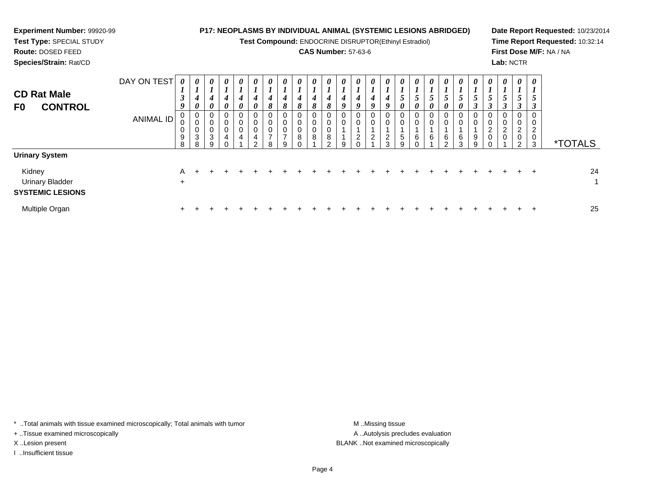| <b>Experiment Number: 99920-99</b><br>Test Type: SPECIAL STUDY<br><b>Route: DOSED FEED</b><br>Species/Strain: Rat/CD |                                 |                               |                                                             |                                                        | <b>P17: NEOPLASMS BY INDIVIDUAL ANIMAL (SYSTEMIC LESIONS ABRIDGED)</b> |                                                |                                       |                           | Test Compound: ENDOCRINE DISRUPTOR(Ethinyl Estradiol) |             |   |             |        | <b>CAS Number: 57-63-6</b> |   |                                                       |                            |                            |   |                                |            | Lab: NCTR          |   |                                     | Date Report Requested: 10/23/2014<br>Time Report Requested: 10:32:14<br>First Dose M/F: NA / NA |
|----------------------------------------------------------------------------------------------------------------------|---------------------------------|-------------------------------|-------------------------------------------------------------|--------------------------------------------------------|------------------------------------------------------------------------|------------------------------------------------|---------------------------------------|---------------------------|-------------------------------------------------------|-------------|---|-------------|--------|----------------------------|---|-------------------------------------------------------|----------------------------|----------------------------|---|--------------------------------|------------|--------------------|---|-------------------------------------|-------------------------------------------------------------------------------------------------|
| <b>CD Rat Male</b><br><b>CONTROL</b><br>F0                                                                           | DAY ON TEST<br><b>ANIMAL ID</b> | $\overline{ }$<br>9<br>9<br>8 | $\boldsymbol{\theta}$<br>0<br>0<br>0<br>$\overline{3}$<br>8 | 0<br>$\overline{ }$<br>4<br>0<br>0<br>0<br>0<br>3<br>9 | 0                                                                      | $\boldsymbol{\theta}$<br>0<br>0<br>$\mathbf 0$ | 0<br>0<br>$\pmb{0}$<br>$\mathfrak{p}$ | $\boldsymbol{\mathit{U}}$ | $\boldsymbol{\theta}$<br>0<br>$\overline{ }$<br>q     | 0<br>0<br>8 | 8 | 0<br>0<br>8 | 9<br>9 | $\overline{c}$             | 0 | $\boldsymbol{\theta}$<br>$\overline{\mathbf{c}}$<br>3 | $\sqrt{5}$<br>$\mathbf{Q}$ | $\boldsymbol{\theta}$<br>6 | 6 | $\theta$<br>6<br>$\mathcal{R}$ | 0<br>$9\,$ | 0<br>$\frac{2}{0}$ | ∠ | 0<br>$\overline{c}$<br>$\,0\,$<br>3 | <i><b>*TOTALS</b></i>                                                                           |
| <b>Urinary System</b>                                                                                                |                                 |                               |                                                             |                                                        |                                                                        |                                                |                                       |                           |                                                       |             |   |             |        |                            |   |                                                       |                            |                            |   |                                |            |                    |   |                                     |                                                                                                 |
| Kidney<br><b>Urinary Bladder</b><br><b>SYSTEMIC LESIONS</b>                                                          |                                 | A<br>$\ddot{}$                |                                                             |                                                        |                                                                        |                                                |                                       |                           |                                                       |             |   |             |        |                            |   |                                                       |                            |                            |   |                                |            |                    |   |                                     | 24                                                                                              |
| Multiple Organ                                                                                                       |                                 |                               |                                                             |                                                        |                                                                        |                                                |                                       |                           |                                                       |             |   |             |        |                            |   |                                                       |                            |                            |   |                                |            |                    |   |                                     | 25                                                                                              |

\* ..Total animals with tissue examined microscopically; Total animals with tumor M..Missing tissue M ..Missing tissue

+ ..Tissue examined microscopically

I ..Insufficient tissue

A ..Autolysis precludes evaluation X ..Lesion present BLANK ..Not examined microscopically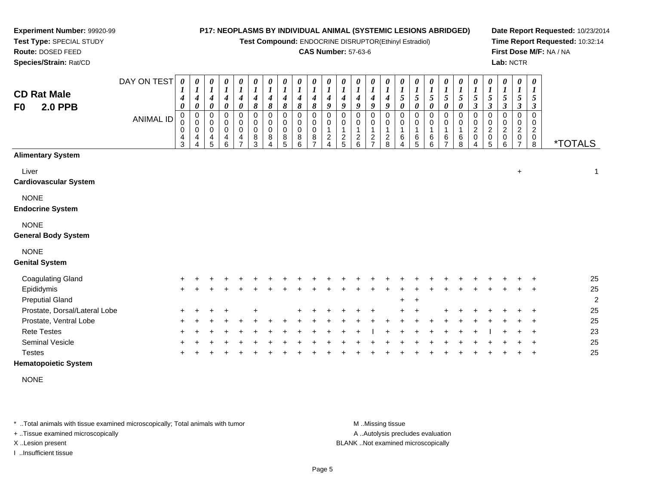**Test Compound:** ENDOCRINE DISRUPTOR(Ethinyl Estradiol)

### **CAS Number:** 57-63-6

**Date Report Requested:** 10/23/2014**Time Report Requested:** 10:32:14**First Dose M/F:** NA / NA**Lab:** NCTR

0 2 0

\*TOTALS

 $+$  1

| Species/Strain: Rat/CD                     |             |                             |                     |                                                               |                                                                    |                                                                |                                                          |                                                                           |                                         |                                 |                                 |                                        |             |                               |                                                |        |                                                     |                                             |                         |                                      |                                                     |                                 |                                                | Lab: NCT                                                               |                    |
|--------------------------------------------|-------------|-----------------------------|---------------------|---------------------------------------------------------------|--------------------------------------------------------------------|----------------------------------------------------------------|----------------------------------------------------------|---------------------------------------------------------------------------|-----------------------------------------|---------------------------------|---------------------------------|----------------------------------------|-------------|-------------------------------|------------------------------------------------|--------|-----------------------------------------------------|---------------------------------------------|-------------------------|--------------------------------------|-----------------------------------------------------|---------------------------------|------------------------------------------------|------------------------------------------------------------------------|--------------------|
| <b>CD Rat Male</b><br><b>2.0 PPB</b><br>F0 | DAY ON TEST | 0<br>$\mathbf{I}$<br>4<br>0 | 0<br>$\overline{ }$ | $\boldsymbol{\theta}$<br>$\boldsymbol{l}$<br>4<br>0           | $\boldsymbol{\theta}$<br>$\boldsymbol{l}$<br>$\boldsymbol{4}$<br>0 | 0<br>$\boldsymbol{l}$<br>4<br>$\boldsymbol{\theta}$            | $\begin{bmatrix} 0 \\ 1 \\ 4 \end{bmatrix}$<br>$\pmb{8}$ | $\begin{matrix} 0 \\ 1 \end{matrix}$<br>$\boldsymbol{4}$<br>8             | 0<br>$\boldsymbol{l}$<br>4<br>8         | 0<br>$\boldsymbol{l}$<br>4<br>8 | 0<br>$\boldsymbol{l}$<br>4<br>8 | 0<br>$\boldsymbol{l}$<br>4<br>9        | 0<br>4<br>9 | 0<br>4<br>$\boldsymbol{q}$    | 0<br>$\boldsymbol{l}$<br>$\boldsymbol{4}$<br>9 | 0<br>4 | $\boldsymbol{\theta}$<br>$\boldsymbol{l}$<br>5<br>0 | $\boldsymbol{\theta}$<br>$\frac{1}{5}$<br>0 | 0<br>$\frac{1}{5}$<br>0 | $\pmb{\theta}$<br>$\frac{1}{5}$<br>0 | $\boldsymbol{\theta}$<br>$\boldsymbol{l}$<br>5<br>0 | 0<br>$\boldsymbol{l}$<br>5<br>3 | 0<br>$\boldsymbol{l}$<br>5<br>3                | $\boldsymbol{\theta}$<br>$\boldsymbol{l}$<br>5<br>$\boldsymbol{\beta}$ | $\theta$<br>J<br>J |
|                                            | ANIMAL ID   | 0<br>0<br>0<br>4<br>3       | 4                   | 0<br>$\mathbf 0$<br>$\pmb{0}$<br>$\overline{\mathbf{4}}$<br>5 | 0<br>0<br>0<br>4<br>6                                              | 0<br>0<br>$\boldsymbol{0}$<br>$\overline{4}$<br>$\overline{z}$ | 0<br>$\begin{matrix}0\\0\\8\end{matrix}$<br>3            | $\mathbf 0$<br>$\begin{smallmatrix}0\\0\end{smallmatrix}$<br>$\bf 8$<br>4 | $\mathbf 0$<br>0<br>$\pmb{0}$<br>8<br>5 | 0<br>0<br>$\pmb{0}$<br>8<br>6   | 0<br>0<br>$\mathbf 0$<br>8<br>⇁ | 0<br>0<br>$\overline{\mathbf{c}}$<br>4 | 2<br>5      | 0<br>0<br>$\overline{c}$<br>6 | 0<br>0<br>1<br>$\frac{2}{7}$                   | 2<br>8 | 0<br>0<br>6<br>4                                    | 0<br>0<br>6<br>5                            | 0<br>0<br>6<br>6        | 0<br>0<br>6<br>$\overline{ }$        | $\mathbf 0$<br>0<br>6<br>8                          | 0<br>$\overline{2}$<br>0<br>4   | $\mathbf 0$<br>$\frac{0}{2}$<br>$\pmb{0}$<br>5 | 0<br>$\mathbf 0$<br>$\overline{c}$<br>$\mathbf 0$<br>6                 |                    |
| <b>Alimentary System</b>                   |             |                             |                     |                                                               |                                                                    |                                                                |                                                          |                                                                           |                                         |                                 |                                 |                                        |             |                               |                                                |        |                                                     |                                             |                         |                                      |                                                     |                                 |                                                |                                                                        |                    |
| Liver<br><b>Cardiovascular System</b>      |             |                             |                     |                                                               |                                                                    |                                                                |                                                          |                                                                           |                                         |                                 |                                 |                                        |             |                               |                                                |        |                                                     |                                             |                         |                                      |                                                     |                                 |                                                |                                                                        | $\ddot{}$          |
| <b>NONE</b><br><b>Endocrine System</b>     |             |                             |                     |                                                               |                                                                    |                                                                |                                                          |                                                                           |                                         |                                 |                                 |                                        |             |                               |                                                |        |                                                     |                                             |                         |                                      |                                                     |                                 |                                                |                                                                        |                    |
| <b>NONE</b><br><b>General Body System</b>  |             |                             |                     |                                                               |                                                                    |                                                                |                                                          |                                                                           |                                         |                                 |                                 |                                        |             |                               |                                                |        |                                                     |                                             |                         |                                      |                                                     |                                 |                                                |                                                                        |                    |
| <b>NONE</b>                                |             |                             |                     |                                                               |                                                                    |                                                                |                                                          |                                                                           |                                         |                                 |                                 |                                        |             |                               |                                                |        |                                                     |                                             |                         |                                      |                                                     |                                 |                                                |                                                                        |                    |

# **Genital System**

**Experiment Number:** 99920-99**Test Type:** SPECIAL STUDY**Route:** DOSED FEED

| <b>Coagulating Gland</b>      | $+$ |  |  |  |     |     |     |     |   |     |         |     |     |     |           |     |                | 25 |
|-------------------------------|-----|--|--|--|-----|-----|-----|-----|---|-----|---------|-----|-----|-----|-----------|-----|----------------|----|
| Epididymis                    | $+$ |  |  |  |     |     |     |     |   |     |         |     |     |     |           |     | $+$ $+$        | 25 |
| <b>Preputial Gland</b>        |     |  |  |  |     |     |     |     |   |     | $+$ $+$ |     |     |     |           |     |                | 2  |
| Prostate, Dorsal/Lateral Lobe | $+$ |  |  |  | $+$ | $+$ | · + |     | + |     | $+$     |     | $+$ |     |           |     | $\overline{+}$ | 25 |
| Prostate, Ventral Lobe        | $+$ |  |  |  |     |     |     |     |   |     |         |     |     |     |           |     | $+$ $+$        | 25 |
| <b>Rete Testes</b>            | $+$ |  |  |  |     |     |     | $+$ |   | $+$ | $+$     | $+$ |     | $+$ | $\ddot{}$ | $+$ | $+$ $+$        | 23 |
| Seminal Vesicle               | $+$ |  |  |  |     |     |     |     |   |     |         |     |     |     |           |     | $+$ $+$        | 25 |
| Testes                        | $+$ |  |  |  |     |     |     |     |   |     |         |     |     |     |           |     |                | 25 |

#### **Hematopoietic System**

NONE

\* ..Total animals with tissue examined microscopically; Total animals with tumor **M** ...Missing tissue M ...Missing tissue

+ ..Tissue examined microscopically

I ..Insufficient tissue

A ..Autolysis precludes evaluation

X ..Lesion present BLANK ..Not examined microscopically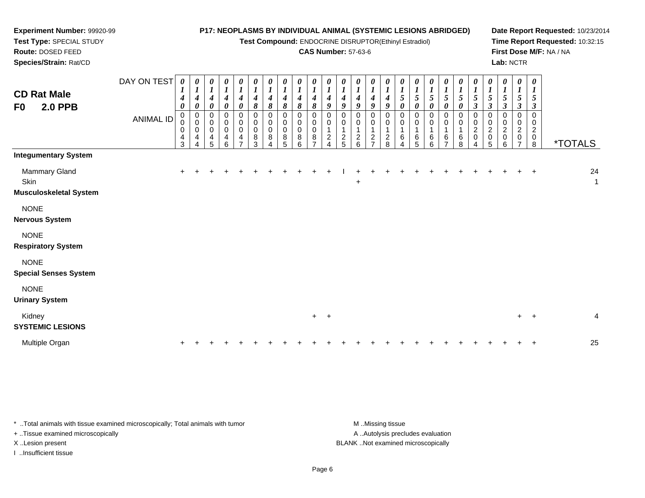**Test Compound:** ENDOCRINE DISRUPTOR(Ethinyl Estradiol)

#### **CAS Number:** 57-63-6

**Date Report Requested:** 10/23/2014**Time Report Requested:** 10:32:15**First Dose M/F:** NA / NA**Lab:** NCTR

| <b>CD Rat Male</b><br>F0<br><b>2.0 PPB</b>      | DAY ON TEST<br><b>ANIMAL ID</b> | $\boldsymbol{\theta}$<br>1<br>4<br>0<br>0<br>0<br>$\overline{\mathbf{r}}$<br>3 | $\boldsymbol{\theta}$<br>$\boldsymbol{l}$<br>4<br>0<br>0<br>0<br>0<br>4 | 0<br>$\boldsymbol{l}$<br>$\boldsymbol{4}$<br>$\pmb{\theta}$<br>$\pmb{0}$<br>$\mathbf 0$<br>$\mathbf 0$<br>$\overline{4}$<br>5 | $\frac{\theta}{I}$<br>$\boldsymbol{4}$<br>$\boldsymbol{\theta}$<br>$\pmb{0}$<br>$\pmb{0}$<br>$\pmb{0}$<br>$\begin{array}{c} 4 \\ 6 \end{array}$ | 0<br>$\boldsymbol{l}$<br>$\boldsymbol{4}$<br>0<br>$\pmb{0}$<br>0<br>$\pmb{0}$<br>$\overline{\mathbf{4}}$<br>$\overline{ }$ | 0<br>$\boldsymbol{l}$<br>$\boldsymbol{4}$<br>$\pmb{8}$<br>$\pmb{0}$<br>0<br>$\pmb{0}$<br>8<br>3 | 0<br>$\boldsymbol{l}$<br>$\boldsymbol{4}$<br>8<br>$\pmb{0}$<br>$\pmb{0}$<br>$\pmb{0}$<br>8 | 0<br>$\boldsymbol{l}$<br>4<br>8<br>0<br>0<br>$\mathbf 0$<br>8<br>5 | $\boldsymbol{\theta}$<br>$\boldsymbol{l}$<br>4<br>8<br>$\mathbf 0$<br>0<br>$\mathbf 0$<br>8<br>6 | $\boldsymbol{\theta}$<br>$\boldsymbol{l}$<br>4<br>8<br>$\mathbf 0$<br>0<br>$\Omega$<br>8 | 0<br>$\boldsymbol{l}$<br>4<br>9<br>$\mathbf 0$<br>0<br>$\overline{\mathbf{c}}$ | 0<br>$\boldsymbol{l}$<br>4<br>9<br>0<br>0<br>$\overline{a}$<br>5 | 0<br>$\boldsymbol{l}$<br>4<br>9<br>0<br>0<br>$\boldsymbol{2}$<br>6 | 0<br>$\boldsymbol{l}$<br>$\boldsymbol{4}$<br>9<br>0<br>0<br>$\mathbf{1}$<br>$\boldsymbol{2}$<br>$\overline{7}$ | 0<br>$\boldsymbol{l}$<br>$\boldsymbol{4}$<br>$\boldsymbol{g}$<br>0<br>0<br>$\overline{c}$<br>8 | 0<br>$\boldsymbol{l}$<br>5<br>$\boldsymbol{\theta}$<br>0<br>0<br>1<br>6<br>4 | 0<br>$\boldsymbol{l}$<br>$\sqrt{5}$<br>$\boldsymbol{\theta}$<br>$\mathbf 0$<br>0<br>6<br>5 | 0<br>$\boldsymbol{l}$<br>5<br>0<br>$\mathbf 0$<br>6<br>6 | $\boldsymbol{\theta}$<br>$\boldsymbol{l}$<br>$\sqrt{5}$<br>0<br>$\mathbf 0$<br>0<br>6<br>$\overline{ }$ | 0<br>$\boldsymbol{l}$<br>$\sqrt{5}$<br>0<br>0<br>0<br>6<br>8 | 0<br>$\boldsymbol{l}$<br>$\sqrt{5}$<br>$\boldsymbol{\beta}$<br>0<br>0<br>$\frac{2}{0}$<br>4 | 0<br>$\boldsymbol{l}$<br>$\mathfrak{s}$<br>$\boldsymbol{\beta}$<br>0<br>$\pmb{0}$<br>$\overline{\mathbf{c}}$<br>0<br>5 | 0<br>$\boldsymbol{l}$<br>5<br>$\boldsymbol{\beta}$<br>$\mathbf 0$<br>0<br>$\overline{c}$<br>$\pmb{0}$<br>6 | 0<br>$\boldsymbol{l}$<br>5<br>$\boldsymbol{\beta}$<br>$\mathbf 0$<br>0<br>$\overline{\mathbf{c}}$<br>0<br>⇁ | $\boldsymbol{\theta}$<br>$\boldsymbol{I}$<br>5<br>$\boldsymbol{\beta}$<br>$\mathbf 0$<br>0<br>$\overline{2}$<br>$\mathbf 0$<br>8 | <i><b>*TOTALS</b></i> |                    |
|-------------------------------------------------|---------------------------------|--------------------------------------------------------------------------------|-------------------------------------------------------------------------|-------------------------------------------------------------------------------------------------------------------------------|-------------------------------------------------------------------------------------------------------------------------------------------------|----------------------------------------------------------------------------------------------------------------------------|-------------------------------------------------------------------------------------------------|--------------------------------------------------------------------------------------------|--------------------------------------------------------------------|--------------------------------------------------------------------------------------------------|------------------------------------------------------------------------------------------|--------------------------------------------------------------------------------|------------------------------------------------------------------|--------------------------------------------------------------------|----------------------------------------------------------------------------------------------------------------|------------------------------------------------------------------------------------------------|------------------------------------------------------------------------------|--------------------------------------------------------------------------------------------|----------------------------------------------------------|---------------------------------------------------------------------------------------------------------|--------------------------------------------------------------|---------------------------------------------------------------------------------------------|------------------------------------------------------------------------------------------------------------------------|------------------------------------------------------------------------------------------------------------|-------------------------------------------------------------------------------------------------------------|----------------------------------------------------------------------------------------------------------------------------------|-----------------------|--------------------|
| <b>Integumentary System</b>                     |                                 |                                                                                |                                                                         |                                                                                                                               |                                                                                                                                                 |                                                                                                                            |                                                                                                 |                                                                                            |                                                                    |                                                                                                  |                                                                                          |                                                                                |                                                                  |                                                                    |                                                                                                                |                                                                                                |                                                                              |                                                                                            |                                                          |                                                                                                         |                                                              |                                                                                             |                                                                                                                        |                                                                                                            |                                                                                                             |                                                                                                                                  |                       |                    |
| Mammary Gland<br>Skin<br>Musculoskeletal System |                                 | $+$                                                                            |                                                                         |                                                                                                                               |                                                                                                                                                 |                                                                                                                            |                                                                                                 |                                                                                            |                                                                    |                                                                                                  |                                                                                          |                                                                                |                                                                  | $\ddot{}$                                                          |                                                                                                                |                                                                                                |                                                                              |                                                                                            |                                                          |                                                                                                         |                                                              |                                                                                             |                                                                                                                        |                                                                                                            |                                                                                                             | $\overline{ }$                                                                                                                   |                       | 24<br>$\mathbf{1}$ |
| <b>NONE</b><br><b>Nervous System</b>            |                                 |                                                                                |                                                                         |                                                                                                                               |                                                                                                                                                 |                                                                                                                            |                                                                                                 |                                                                                            |                                                                    |                                                                                                  |                                                                                          |                                                                                |                                                                  |                                                                    |                                                                                                                |                                                                                                |                                                                              |                                                                                            |                                                          |                                                                                                         |                                                              |                                                                                             |                                                                                                                        |                                                                                                            |                                                                                                             |                                                                                                                                  |                       |                    |
| <b>NONE</b><br><b>Respiratory System</b>        |                                 |                                                                                |                                                                         |                                                                                                                               |                                                                                                                                                 |                                                                                                                            |                                                                                                 |                                                                                            |                                                                    |                                                                                                  |                                                                                          |                                                                                |                                                                  |                                                                    |                                                                                                                |                                                                                                |                                                                              |                                                                                            |                                                          |                                                                                                         |                                                              |                                                                                             |                                                                                                                        |                                                                                                            |                                                                                                             |                                                                                                                                  |                       |                    |
| <b>NONE</b><br><b>Special Senses System</b>     |                                 |                                                                                |                                                                         |                                                                                                                               |                                                                                                                                                 |                                                                                                                            |                                                                                                 |                                                                                            |                                                                    |                                                                                                  |                                                                                          |                                                                                |                                                                  |                                                                    |                                                                                                                |                                                                                                |                                                                              |                                                                                            |                                                          |                                                                                                         |                                                              |                                                                                             |                                                                                                                        |                                                                                                            |                                                                                                             |                                                                                                                                  |                       |                    |
| <b>NONE</b><br><b>Urinary System</b>            |                                 |                                                                                |                                                                         |                                                                                                                               |                                                                                                                                                 |                                                                                                                            |                                                                                                 |                                                                                            |                                                                    |                                                                                                  |                                                                                          |                                                                                |                                                                  |                                                                    |                                                                                                                |                                                                                                |                                                                              |                                                                                            |                                                          |                                                                                                         |                                                              |                                                                                             |                                                                                                                        |                                                                                                            |                                                                                                             |                                                                                                                                  |                       |                    |
| Kidney<br><b>SYSTEMIC LESIONS</b>               |                                 |                                                                                |                                                                         |                                                                                                                               |                                                                                                                                                 |                                                                                                                            |                                                                                                 |                                                                                            |                                                                    |                                                                                                  | $+$ $+$                                                                                  |                                                                                |                                                                  |                                                                    |                                                                                                                |                                                                                                |                                                                              |                                                                                            |                                                          |                                                                                                         |                                                              |                                                                                             |                                                                                                                        |                                                                                                            | $+$ $+$                                                                                                     |                                                                                                                                  |                       | 4                  |
| Multiple Organ                                  |                                 | $\ddot{}$                                                                      |                                                                         |                                                                                                                               |                                                                                                                                                 |                                                                                                                            |                                                                                                 |                                                                                            |                                                                    |                                                                                                  |                                                                                          |                                                                                |                                                                  |                                                                    |                                                                                                                |                                                                                                |                                                                              |                                                                                            |                                                          |                                                                                                         |                                                              |                                                                                             |                                                                                                                        |                                                                                                            |                                                                                                             |                                                                                                                                  |                       | 25                 |

\* ..Total animals with tissue examined microscopically; Total animals with tumor **M** . Missing tissue M ..Missing tissue A ..Autolysis precludes evaluation + ..Tissue examined microscopically X ..Lesion present BLANK ..Not examined microscopicallyI ..Insufficient tissue

**Experiment Number:** 99920-99**Test Type:** SPECIAL STUDY**Route:** DOSED FEED**Species/Strain:** Rat/CD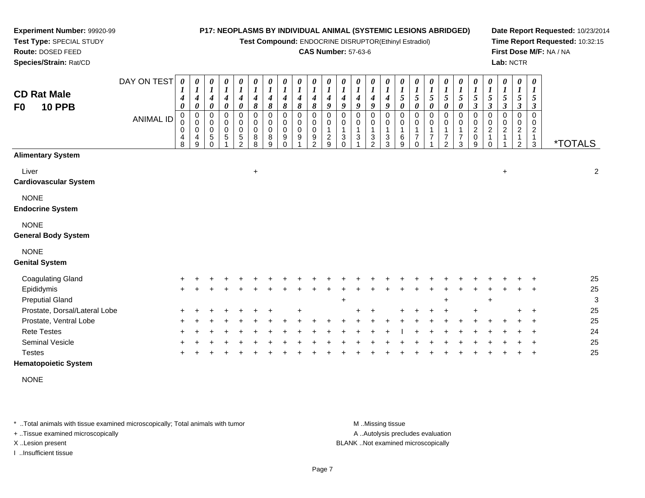**Test Compound:** ENDOCRINE DISRUPTOR(Ethinyl Estradiol)

#### **CAS Number:** 57-63-6

**Date Report Requested:** 10/23/2014**Time Report Requested:** 10:32:15**First Dose M/F:** NA / NA**Lab:** NCTR

| <b>CD Rat Male</b><br><b>10 PPB</b><br>F <sub>0</sub> | DAY ON TEST<br><b>ANIMAL ID</b> | 0<br>1<br>$\boldsymbol{4}$<br>0<br>0<br>$\pmb{0}$<br>0<br>4<br>8 | 0<br>$\boldsymbol{l}$<br>4<br>$\boldsymbol{\theta}$<br>$\pmb{0}$<br>$\pmb{0}$<br>0<br>4<br>9 | 0<br>$\boldsymbol{l}$<br>$\boldsymbol{4}$<br>$\boldsymbol{\theta}$<br>$\mathbf 0$<br>$\mathbf 0$<br>$\mathbf 0$<br>$\sqrt{5}$<br>$\cap$ | 0<br>$\boldsymbol{l}$<br>$\boldsymbol{4}$<br>$\boldsymbol{\theta}$<br>$\pmb{0}$<br>$\pmb{0}$<br>$\pmb{0}$<br>$\,$ 5 $\,$ | 0<br>$\boldsymbol{l}$<br>$\boldsymbol{4}$<br>$\pmb{\theta}$<br>0<br>$\mathbf 0$<br>0<br>5<br>$\mathcal{P}$ | $\pmb{\theta}$<br>$\boldsymbol{l}$<br>$\boldsymbol{4}$<br>8<br>0<br>$\pmb{0}$<br>$\pmb{0}$<br>8<br>8 | $\pmb{\theta}$<br>$\boldsymbol{l}$<br>$\boldsymbol{4}$<br>8<br>$\mathbf 0$<br>$\mathbf 0$<br>$\mathbf 0$<br>8<br>9 | $\pmb{\theta}$<br>$\boldsymbol{l}$<br>$\boldsymbol{4}$<br>8<br>$\pmb{0}$<br>$\pmb{0}$<br>$\mathbf 0$<br>9<br>$\Omega$ | $\boldsymbol{\theta}$<br>$\boldsymbol{l}$<br>$\boldsymbol{4}$<br>8<br>0<br>$\mathbf 0$<br>$\mathbf 0$<br>9 | 0<br>$\boldsymbol{l}$<br>$\boldsymbol{4}$<br>8<br>0<br>0<br>0<br>9<br>2 | $\boldsymbol{\theta}$<br>$\boldsymbol{l}$<br>4<br>9<br>$\mathbf 0$<br>$\mathbf 0$<br>$\mathbf{1}$<br>$\boldsymbol{2}$<br>9 | 0<br>$\boldsymbol{l}$<br>$\boldsymbol{4}$<br>9<br>0<br>0<br>$\mathbf{1}$<br>$\mathbf{3}$<br>$\Omega$ | $\boldsymbol{\theta}$<br>$\boldsymbol{l}$<br>4<br>$\boldsymbol{g}$<br>0<br>0<br>$\mathbf{1}$<br>$\mathbf{3}$ | 0<br>$\boldsymbol{l}$<br>4<br>9<br>0<br>0<br>1<br>3<br>$\mathfrak{p}$ | 0<br>$\boldsymbol{l}$<br>4<br>9<br>$\Omega$<br>0<br>1<br>3<br>3 | 0<br>$\boldsymbol{l}$<br>$\sqrt{5}$<br>0<br>$\Omega$<br>0<br>1<br>6<br>9 | 0<br>$\boldsymbol{l}$<br>$\mathfrak{s}$<br>$\boldsymbol{\theta}$<br>$\Omega$<br>0<br>$\mathbf{1}$<br>$\overline{7}$<br>0 | 0<br>$\boldsymbol{l}$<br>5<br>0<br>0<br>0<br>$\overline{7}$ | $\boldsymbol{\theta}$<br>$\boldsymbol{l}$<br>$\sqrt{5}$<br>$\boldsymbol{\theta}$<br>$\mathbf 0$<br>0<br>7<br>$\mathfrak{p}$ | 0<br>$\boldsymbol{l}$<br>5<br>0<br>0<br>$\pmb{0}$<br>1<br>$\overline{7}$<br>3 | 0<br>$\boldsymbol{l}$<br>$\sqrt{5}$<br>$\boldsymbol{\beta}$<br>0<br>$\pmb{0}$<br>$\mathbf 2$<br>$\pmb{0}$<br>9 | 0<br>$\boldsymbol{l}$<br>$\mathfrak{s}$<br>$\boldsymbol{\beta}$<br>0<br>$\mathbf 0$<br>$\boldsymbol{2}$<br>$\mathbf{1}$<br>$\Omega$ | $\boldsymbol{\theta}$<br>$\boldsymbol{l}$<br>$\mathfrak{s}$<br>$\boldsymbol{\beta}$<br>$\mathbf 0$<br>$\mathbf 0$<br>$\boldsymbol{2}$ | 0<br>$\boldsymbol{I}$<br>$\mathfrak{I}$<br>$\mathbf{3}$<br>$\mathbf 0$<br>$\mathbf 0$<br>$\overline{\mathbf{c}}$<br>1<br>$\overline{2}$ | 0<br>$\boldsymbol{l}$<br>5<br>$\boldsymbol{\beta}$<br>$\Omega$<br>$\mathbf 0$<br>$\overline{c}$<br>$\mathbf{1}$<br>3 | <i><b>*TOTALS</b></i> |
|-------------------------------------------------------|---------------------------------|------------------------------------------------------------------|----------------------------------------------------------------------------------------------|-----------------------------------------------------------------------------------------------------------------------------------------|--------------------------------------------------------------------------------------------------------------------------|------------------------------------------------------------------------------------------------------------|------------------------------------------------------------------------------------------------------|--------------------------------------------------------------------------------------------------------------------|-----------------------------------------------------------------------------------------------------------------------|------------------------------------------------------------------------------------------------------------|-------------------------------------------------------------------------|----------------------------------------------------------------------------------------------------------------------------|------------------------------------------------------------------------------------------------------|--------------------------------------------------------------------------------------------------------------|-----------------------------------------------------------------------|-----------------------------------------------------------------|--------------------------------------------------------------------------|--------------------------------------------------------------------------------------------------------------------------|-------------------------------------------------------------|-----------------------------------------------------------------------------------------------------------------------------|-------------------------------------------------------------------------------|----------------------------------------------------------------------------------------------------------------|-------------------------------------------------------------------------------------------------------------------------------------|---------------------------------------------------------------------------------------------------------------------------------------|-----------------------------------------------------------------------------------------------------------------------------------------|----------------------------------------------------------------------------------------------------------------------|-----------------------|
| <b>Alimentary System</b>                              |                                 |                                                                  |                                                                                              |                                                                                                                                         |                                                                                                                          |                                                                                                            |                                                                                                      |                                                                                                                    |                                                                                                                       |                                                                                                            |                                                                         |                                                                                                                            |                                                                                                      |                                                                                                              |                                                                       |                                                                 |                                                                          |                                                                                                                          |                                                             |                                                                                                                             |                                                                               |                                                                                                                |                                                                                                                                     |                                                                                                                                       |                                                                                                                                         |                                                                                                                      |                       |
| Liver<br><b>Cardiovascular System</b>                 |                                 |                                                                  |                                                                                              |                                                                                                                                         |                                                                                                                          |                                                                                                            | $+$                                                                                                  |                                                                                                                    |                                                                                                                       |                                                                                                            |                                                                         |                                                                                                                            |                                                                                                      |                                                                                                              |                                                                       |                                                                 |                                                                          |                                                                                                                          |                                                             |                                                                                                                             |                                                                               |                                                                                                                |                                                                                                                                     | $\ddot{}$                                                                                                                             |                                                                                                                                         |                                                                                                                      | $\boldsymbol{2}$      |
| <b>NONE</b><br><b>Endocrine System</b>                |                                 |                                                                  |                                                                                              |                                                                                                                                         |                                                                                                                          |                                                                                                            |                                                                                                      |                                                                                                                    |                                                                                                                       |                                                                                                            |                                                                         |                                                                                                                            |                                                                                                      |                                                                                                              |                                                                       |                                                                 |                                                                          |                                                                                                                          |                                                             |                                                                                                                             |                                                                               |                                                                                                                |                                                                                                                                     |                                                                                                                                       |                                                                                                                                         |                                                                                                                      |                       |
| <b>NONE</b><br><b>General Body System</b>             |                                 |                                                                  |                                                                                              |                                                                                                                                         |                                                                                                                          |                                                                                                            |                                                                                                      |                                                                                                                    |                                                                                                                       |                                                                                                            |                                                                         |                                                                                                                            |                                                                                                      |                                                                                                              |                                                                       |                                                                 |                                                                          |                                                                                                                          |                                                             |                                                                                                                             |                                                                               |                                                                                                                |                                                                                                                                     |                                                                                                                                       |                                                                                                                                         |                                                                                                                      |                       |
| <b>NONE</b><br><b>Genital System</b>                  |                                 |                                                                  |                                                                                              |                                                                                                                                         |                                                                                                                          |                                                                                                            |                                                                                                      |                                                                                                                    |                                                                                                                       |                                                                                                            |                                                                         |                                                                                                                            |                                                                                                      |                                                                                                              |                                                                       |                                                                 |                                                                          |                                                                                                                          |                                                             |                                                                                                                             |                                                                               |                                                                                                                |                                                                                                                                     |                                                                                                                                       |                                                                                                                                         |                                                                                                                      |                       |
| <b>Coagulating Gland</b>                              |                                 |                                                                  |                                                                                              |                                                                                                                                         |                                                                                                                          |                                                                                                            |                                                                                                      |                                                                                                                    |                                                                                                                       |                                                                                                            |                                                                         |                                                                                                                            |                                                                                                      |                                                                                                              |                                                                       |                                                                 |                                                                          |                                                                                                                          |                                                             |                                                                                                                             |                                                                               |                                                                                                                |                                                                                                                                     |                                                                                                                                       |                                                                                                                                         |                                                                                                                      | 25                    |
| Epididymis                                            |                                 |                                                                  |                                                                                              |                                                                                                                                         |                                                                                                                          |                                                                                                            |                                                                                                      |                                                                                                                    |                                                                                                                       |                                                                                                            |                                                                         |                                                                                                                            |                                                                                                      |                                                                                                              |                                                                       |                                                                 |                                                                          |                                                                                                                          |                                                             |                                                                                                                             |                                                                               |                                                                                                                |                                                                                                                                     |                                                                                                                                       |                                                                                                                                         |                                                                                                                      | 25                    |
| <b>Preputial Gland</b>                                |                                 |                                                                  |                                                                                              |                                                                                                                                         |                                                                                                                          |                                                                                                            |                                                                                                      |                                                                                                                    |                                                                                                                       |                                                                                                            |                                                                         |                                                                                                                            | $\ddot{}$                                                                                            |                                                                                                              |                                                                       |                                                                 |                                                                          |                                                                                                                          |                                                             |                                                                                                                             |                                                                               |                                                                                                                | $\ddot{}$                                                                                                                           |                                                                                                                                       |                                                                                                                                         |                                                                                                                      | 3                     |
| Prostate, Dorsal/Lateral Lobe                         |                                 |                                                                  |                                                                                              |                                                                                                                                         |                                                                                                                          |                                                                                                            |                                                                                                      |                                                                                                                    |                                                                                                                       |                                                                                                            |                                                                         |                                                                                                                            |                                                                                                      |                                                                                                              |                                                                       |                                                                 |                                                                          |                                                                                                                          |                                                             |                                                                                                                             |                                                                               |                                                                                                                |                                                                                                                                     |                                                                                                                                       |                                                                                                                                         |                                                                                                                      | 25                    |
| Prostate, Ventral Lobe                                |                                 |                                                                  |                                                                                              |                                                                                                                                         |                                                                                                                          |                                                                                                            |                                                                                                      |                                                                                                                    |                                                                                                                       |                                                                                                            |                                                                         |                                                                                                                            |                                                                                                      |                                                                                                              |                                                                       |                                                                 |                                                                          |                                                                                                                          |                                                             |                                                                                                                             |                                                                               |                                                                                                                |                                                                                                                                     |                                                                                                                                       |                                                                                                                                         |                                                                                                                      | 25                    |
| <b>Rete Testes</b>                                    |                                 |                                                                  |                                                                                              |                                                                                                                                         |                                                                                                                          |                                                                                                            |                                                                                                      |                                                                                                                    |                                                                                                                       |                                                                                                            |                                                                         |                                                                                                                            |                                                                                                      |                                                                                                              |                                                                       |                                                                 |                                                                          |                                                                                                                          |                                                             |                                                                                                                             |                                                                               |                                                                                                                |                                                                                                                                     |                                                                                                                                       |                                                                                                                                         |                                                                                                                      | 24                    |
| Seminal Vesicle                                       |                                 |                                                                  |                                                                                              |                                                                                                                                         |                                                                                                                          |                                                                                                            |                                                                                                      |                                                                                                                    |                                                                                                                       |                                                                                                            |                                                                         |                                                                                                                            |                                                                                                      |                                                                                                              |                                                                       |                                                                 |                                                                          |                                                                                                                          |                                                             |                                                                                                                             |                                                                               |                                                                                                                |                                                                                                                                     |                                                                                                                                       |                                                                                                                                         |                                                                                                                      | 25                    |
| <b>Testes</b>                                         |                                 |                                                                  |                                                                                              |                                                                                                                                         |                                                                                                                          |                                                                                                            |                                                                                                      |                                                                                                                    |                                                                                                                       |                                                                                                            |                                                                         |                                                                                                                            |                                                                                                      |                                                                                                              |                                                                       |                                                                 |                                                                          |                                                                                                                          |                                                             |                                                                                                                             |                                                                               |                                                                                                                |                                                                                                                                     |                                                                                                                                       |                                                                                                                                         |                                                                                                                      | 25                    |
| <b>Hematopoietic System</b>                           |                                 |                                                                  |                                                                                              |                                                                                                                                         |                                                                                                                          |                                                                                                            |                                                                                                      |                                                                                                                    |                                                                                                                       |                                                                                                            |                                                                         |                                                                                                                            |                                                                                                      |                                                                                                              |                                                                       |                                                                 |                                                                          |                                                                                                                          |                                                             |                                                                                                                             |                                                                               |                                                                                                                |                                                                                                                                     |                                                                                                                                       |                                                                                                                                         |                                                                                                                      |                       |

NONE

\* ..Total animals with tissue examined microscopically; Total animals with tumor **M** . Missing tissue M ..Missing tissue

+ ..Tissue examined microscopically

**Experiment Number:** 99920-99**Test Type:** SPECIAL STUDY**Route:** DOSED FEED**Species/Strain:** Rat/CD

I ..Insufficient tissue

A ..Autolysis precludes evaluation

X ..Lesion present BLANK ..Not examined microscopically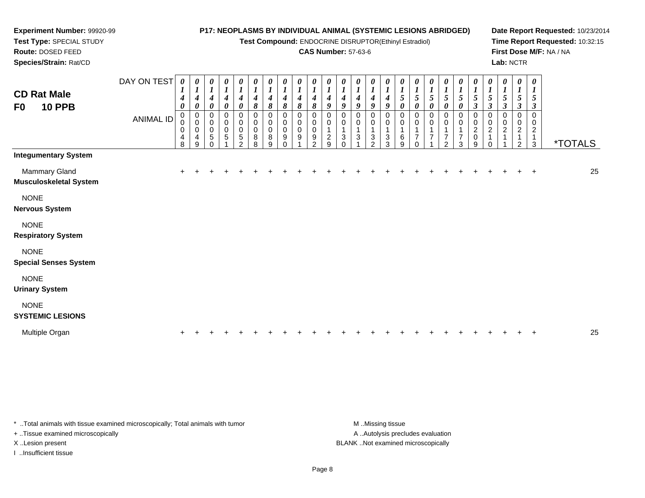**Test Compound:** ENDOCRINE DISRUPTOR(Ethinyl Estradiol)

#### **CAS Number:** 57-63-6

**Date Report Requested:** 10/23/2014**Time Report Requested:** 10:32:15**First Dose M/F:** NA / NA**Lab:** NCTR

| <b>CD Rat Male</b><br>F0<br><b>10 PPB</b>      | DAY ON TEST<br><b>ANIMAL ID</b> | $\boldsymbol{\theta}$<br>4<br>$\boldsymbol{\theta}$<br>$\pmb{0}$<br>0<br>0<br>4<br>8 | $\pmb{\theta}$<br>$\boldsymbol{l}$<br>$\boldsymbol{4}$<br>$\pmb{\theta}$<br>$\begin{smallmatrix}0\\0\end{smallmatrix}$<br>0<br>$\overline{\mathbf{4}}$<br>9 | $\frac{\theta}{I}$<br>$\boldsymbol{4}$<br>$\boldsymbol{\theta}$<br>0<br>$\pmb{0}$<br>0<br>$\sqrt{5}$<br>0 | $\pmb{\theta}$<br>$\boldsymbol{l}$<br>$\boldsymbol{4}$<br>$\pmb{\theta}$<br>0<br>$\pmb{0}$<br>$\pmb{0}$<br>$\sqrt{5}$ | $\boldsymbol{\theta}$<br>$\boldsymbol{l}$<br>4<br>$\boldsymbol{\theta}$<br>0<br>$\pmb{0}$<br>$\pmb{0}$<br>$\sqrt{5}$<br>$\mathfrak{p}$ | $\frac{\theta}{I}$<br>$\boldsymbol{4}$<br>8<br>0<br>$\,0\,$<br>$\mathbf 0$<br>$\bf8$<br>8 | $\frac{\theta}{I}$<br>4<br>$\pmb{8}$<br>0<br>$\pmb{0}$<br>$\pmb{0}$<br>8<br>9 | $\pmb{\theta}$<br>$\boldsymbol{l}$<br>8<br>0<br>0<br>0<br>9 | $\boldsymbol{\theta}$<br>8<br>$\mathbf 0$<br>0<br>0<br>9 | 0<br>8<br>0<br>0<br>0<br>9<br>$\mathfrak{p}$ | $\boldsymbol{\theta}$<br>$\boldsymbol{l}$<br>4<br>9<br>0<br>0<br>1<br>$\overline{c}$<br>9 | $\pmb{\theta}$<br>4<br>9<br>0<br>0<br>3 | $\pmb{\theta}$<br>4<br>9<br>0<br>0<br>3 | $\pmb{\theta}$<br>4<br>9<br>0<br>0<br>3<br>$\mathcal{P}$ | $\pmb{\theta}$<br>$\boldsymbol{l}$<br>4<br>9<br>0<br>0<br>3<br>3 | 0<br>5<br>$\pmb{\theta}$<br>0<br>0<br>6<br>9 | $\pmb{\theta}$<br>$\sqrt{5}$<br>$\pmb{\theta}$<br>0<br>0<br>7<br>0 | 0<br>$\boldsymbol{l}$<br>5<br>0<br>0<br>0<br>$\overline{7}$ | 0<br>$\boldsymbol{l}$<br>$\sqrt{5}$<br>0<br>0<br>0<br>7<br>$\overline{2}$ | $\pmb{\theta}$<br>$\boldsymbol{l}$<br>5<br>0<br>0<br>$\mathbf 0$<br>1<br>7<br>3 | $\boldsymbol{\theta}$<br>$\boldsymbol{l}$<br>5<br>$\boldsymbol{\beta}$<br>0<br>$\pmb{0}$<br>$\boldsymbol{2}$<br>$\mathbf 0$<br>9 | 0<br>5<br>$\boldsymbol{\beta}$<br>0<br>0<br>2 | $\pmb{\theta}$<br>$\boldsymbol{l}$<br>5<br>$\boldsymbol{\beta}$<br>0<br>0<br>2 | $\boldsymbol{\theta}$<br>$\boldsymbol{l}$<br>5<br>$\boldsymbol{\beta}$<br>$\Omega$<br>$\mathfrak{p}$ | $\boldsymbol{\theta}$<br>5<br>3<br>$\mathbf 0$<br>0<br>$\overline{c}$<br>1<br>$\mathbf{3}$ | <i><b>*TOTALS</b></i> |    |
|------------------------------------------------|---------------------------------|--------------------------------------------------------------------------------------|-------------------------------------------------------------------------------------------------------------------------------------------------------------|-----------------------------------------------------------------------------------------------------------|-----------------------------------------------------------------------------------------------------------------------|----------------------------------------------------------------------------------------------------------------------------------------|-------------------------------------------------------------------------------------------|-------------------------------------------------------------------------------|-------------------------------------------------------------|----------------------------------------------------------|----------------------------------------------|-------------------------------------------------------------------------------------------|-----------------------------------------|-----------------------------------------|----------------------------------------------------------|------------------------------------------------------------------|----------------------------------------------|--------------------------------------------------------------------|-------------------------------------------------------------|---------------------------------------------------------------------------|---------------------------------------------------------------------------------|----------------------------------------------------------------------------------------------------------------------------------|-----------------------------------------------|--------------------------------------------------------------------------------|------------------------------------------------------------------------------------------------------|--------------------------------------------------------------------------------------------|-----------------------|----|
| <b>Integumentary System</b>                    |                                 |                                                                                      |                                                                                                                                                             |                                                                                                           |                                                                                                                       |                                                                                                                                        |                                                                                           |                                                                               |                                                             |                                                          |                                              |                                                                                           |                                         |                                         |                                                          |                                                                  |                                              |                                                                    |                                                             |                                                                           |                                                                                 |                                                                                                                                  |                                               |                                                                                |                                                                                                      |                                                                                            |                       |    |
| <b>Mammary Gland</b><br>Musculoskeletal System |                                 |                                                                                      |                                                                                                                                                             |                                                                                                           |                                                                                                                       |                                                                                                                                        |                                                                                           |                                                                               |                                                             |                                                          |                                              |                                                                                           |                                         |                                         |                                                          |                                                                  |                                              |                                                                    |                                                             |                                                                           |                                                                                 |                                                                                                                                  |                                               |                                                                                |                                                                                                      | $^{+}$                                                                                     |                       | 25 |
| <b>NONE</b><br><b>Nervous System</b>           |                                 |                                                                                      |                                                                                                                                                             |                                                                                                           |                                                                                                                       |                                                                                                                                        |                                                                                           |                                                                               |                                                             |                                                          |                                              |                                                                                           |                                         |                                         |                                                          |                                                                  |                                              |                                                                    |                                                             |                                                                           |                                                                                 |                                                                                                                                  |                                               |                                                                                |                                                                                                      |                                                                                            |                       |    |
| <b>NONE</b><br><b>Respiratory System</b>       |                                 |                                                                                      |                                                                                                                                                             |                                                                                                           |                                                                                                                       |                                                                                                                                        |                                                                                           |                                                                               |                                                             |                                                          |                                              |                                                                                           |                                         |                                         |                                                          |                                                                  |                                              |                                                                    |                                                             |                                                                           |                                                                                 |                                                                                                                                  |                                               |                                                                                |                                                                                                      |                                                                                            |                       |    |
| <b>NONE</b><br><b>Special Senses System</b>    |                                 |                                                                                      |                                                                                                                                                             |                                                                                                           |                                                                                                                       |                                                                                                                                        |                                                                                           |                                                                               |                                                             |                                                          |                                              |                                                                                           |                                         |                                         |                                                          |                                                                  |                                              |                                                                    |                                                             |                                                                           |                                                                                 |                                                                                                                                  |                                               |                                                                                |                                                                                                      |                                                                                            |                       |    |
| <b>NONE</b><br><b>Urinary System</b>           |                                 |                                                                                      |                                                                                                                                                             |                                                                                                           |                                                                                                                       |                                                                                                                                        |                                                                                           |                                                                               |                                                             |                                                          |                                              |                                                                                           |                                         |                                         |                                                          |                                                                  |                                              |                                                                    |                                                             |                                                                           |                                                                                 |                                                                                                                                  |                                               |                                                                                |                                                                                                      |                                                                                            |                       |    |
| <b>NONE</b><br><b>SYSTEMIC LESIONS</b>         |                                 |                                                                                      |                                                                                                                                                             |                                                                                                           |                                                                                                                       |                                                                                                                                        |                                                                                           |                                                                               |                                                             |                                                          |                                              |                                                                                           |                                         |                                         |                                                          |                                                                  |                                              |                                                                    |                                                             |                                                                           |                                                                                 |                                                                                                                                  |                                               |                                                                                |                                                                                                      |                                                                                            |                       |    |
| Multiple Organ                                 |                                 |                                                                                      |                                                                                                                                                             |                                                                                                           |                                                                                                                       |                                                                                                                                        |                                                                                           |                                                                               |                                                             |                                                          |                                              |                                                                                           |                                         |                                         |                                                          |                                                                  |                                              |                                                                    |                                                             |                                                                           |                                                                                 |                                                                                                                                  |                                               |                                                                                |                                                                                                      |                                                                                            |                       | 25 |

\* ..Total animals with tissue examined microscopically; Total animals with tumor **M** . Missing tissue M ..Missing tissue

+ ..Tissue examined microscopically

**Experiment Number:** 99920-99**Test Type:** SPECIAL STUDY**Route:** DOSED FEED**Species/Strain:** Rat/CD

I ..Insufficient tissue

A ..Autolysis precludes evaluation X ..Lesion present BLANK ..Not examined microscopically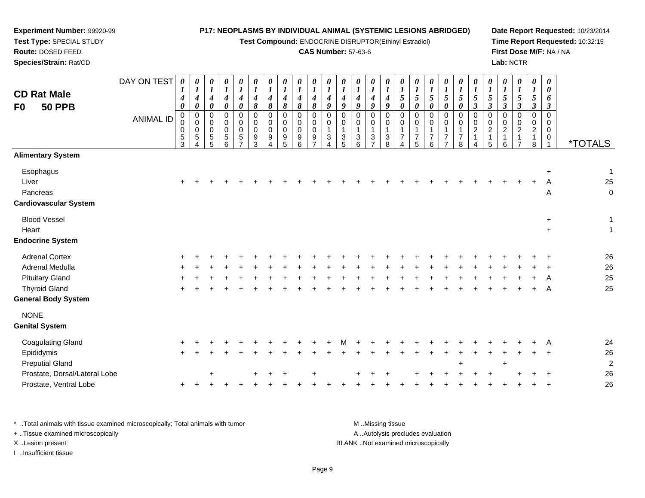**Test Compound:** ENDOCRINE DISRUPTOR(Ethinyl Estradiol)

#### **CAS Number:** 57-63-6

**Date Report Requested:** 10/23/2014**Time Report Requested:** 10:32:15**First Dose M/F:** NA / NA**Lab:** NCTR

| <b>CD Rat Male</b><br><b>50 PPB</b><br>F <sub>0</sub>          | DAY ON TEST<br><b>ANIMAL ID</b> | $\boldsymbol{\theta}$<br>1<br>$\boldsymbol{4}$<br>$\boldsymbol{\theta}$<br>0<br>$\mathbf 0$<br>0<br>$\frac{5}{3}$ | 0<br>$\boldsymbol{\mathit{1}}$<br>$\boldsymbol{4}$<br>$\pmb{\theta}$<br>$\pmb{0}$<br>$\mathbf 0$<br>$\mathbf 0$<br>$\,$ 5 $\,$<br>$\Delta$ | 0<br>$\boldsymbol{l}$<br>$\boldsymbol{4}$<br>$\pmb{\theta}$<br>$\pmb{0}$<br>$\pmb{0}$<br>$\pmb{0}$<br>$\overline{5}$ | $\boldsymbol{\theta}$<br>$\boldsymbol{l}$<br>$\boldsymbol{4}$<br>$\boldsymbol{\theta}$<br>$\mathbf 0$<br>0<br>$\mathbf 0$<br>$\begin{array}{c} 5 \\ 6 \end{array}$ | $\boldsymbol{\theta}$<br>$\boldsymbol{l}$<br>$\boldsymbol{4}$<br>$\boldsymbol{\theta}$<br>$\mathbf 0$<br>$\mathbf 0$<br>$\overline{0}$<br>$\sqrt{5}$<br>$\overline{7}$ | 0<br>$\boldsymbol{l}$<br>$\boldsymbol{4}$<br>8<br>$\mathbf 0$<br>0<br>0<br>$\frac{9}{3}$ | 0<br>$\boldsymbol{l}$<br>$\boldsymbol{4}$<br>8<br>$\mathbf 0$<br>0<br>0<br>9<br>4 | 0<br>$\boldsymbol{l}$<br>$\boldsymbol{4}$<br>8<br>$\mathbf 0$<br>$\mathbf 0$<br>$\mathbf 0$<br>9<br>5 | 0<br>$\boldsymbol{l}$<br>$\boldsymbol{4}$<br>8<br>$\mathbf 0$<br>$\mathbf 0$<br>$\mathbf 0$<br>$\begin{array}{c} 9 \\ 6 \end{array}$ | 0<br>$\boldsymbol{l}$<br>$\boldsymbol{4}$<br>$\pmb{8}$<br>$\mathbf 0$<br>0<br>$\mathbf 0$<br>$\frac{9}{7}$ | 0<br>$\boldsymbol{l}$<br>$\boldsymbol{4}$<br>9<br>$\mathbf 0$<br>$\mathbf 0$<br>$\overline{1}$<br>$\mathbf{3}$<br>$\Delta$ | 0<br>$\boldsymbol{l}$<br>$\boldsymbol{4}$<br>9<br>$\mathbf 0$<br>0<br>$\frac{3}{5}$ | 0<br>$\boldsymbol{l}$<br>$\boldsymbol{4}$<br>$\boldsymbol{g}$<br>$\mathbf 0$<br>$\mathbf 0$<br>$\overline{1}$<br>$\frac{3}{6}$ | $\boldsymbol{\theta}$<br>$\boldsymbol{l}$<br>$\boldsymbol{4}$<br>$\boldsymbol{g}$<br>$\pmb{0}$<br>$\pmb{0}$<br>$\mathbf{1}$<br>$\frac{3}{7}$ | 0<br>$\boldsymbol{l}$<br>$\boldsymbol{4}$<br>9<br>$\Omega$<br>$\mathbf 0$<br>$\mathbf{1}$<br>3<br>8 | 0<br>$\boldsymbol{l}$<br>$\sqrt{5}$<br>$\boldsymbol{\theta}$<br>$\mathbf 0$<br>$\mathbf 0$<br>$\overline{7}$<br>$\Delta$ | 0<br>$\boldsymbol{l}$<br>5<br>0<br>$\mathbf 0$<br>$\mathbf 0$<br>$\mathbf{1}$<br>$\overline{7}$<br>$\overline{5}$ | 0<br>$\boldsymbol{l}$<br>5<br>0<br>0<br>0<br>$\overline{7}$<br>6 | 0<br>$\boldsymbol{l}$<br>5<br>0<br>$\mathbf 0$<br>0<br>$\overline{7}$<br>$\overline{7}$ | 0<br>$\boldsymbol{l}$<br>$\overline{5}$<br>$\boldsymbol{\theta}$<br>$\mathbf 0$<br>$\mathbf 0$<br>$\overline{1}$<br>$\overline{7}$<br>8 | 0<br>$\boldsymbol{l}$<br>5<br>$\mathfrak{z}$<br>$\mathbf 0$<br>$\pmb{0}$<br>$\boldsymbol{2}$<br>$\mathbf{1}$<br>4 | 0<br>$\boldsymbol{l}$<br>$\sqrt{5}$<br>$\boldsymbol{\beta}$<br>0<br>0<br>$\overline{c}$<br>$\mathbf 1$<br>5 | 0<br>$\boldsymbol{l}$<br>5<br>$\boldsymbol{\beta}$<br>$\mathbf 0$<br>$\mathbf 0$<br>$\sqrt{2}$<br>$\mathbf{1}$<br>6 | 0<br>$\boldsymbol{l}$<br>5<br>$\mathfrak{z}$<br>$\mathbf 0$<br>0<br>$\overline{a}$<br>1<br>$\overline{7}$ | 0<br>$\boldsymbol{l}$<br>5<br>$\mathfrak{z}$<br>0<br>$\mathbf 0$<br>$\overline{a}$<br>$\mathbf 1$<br>8 | 0<br>0<br>6<br>$\boldsymbol{\beta}$<br>$\mathbf 0$<br>$\mathbf 0$<br>$\mathbf 0$<br>0 | <i><b>*TOTALS</b></i>             |
|----------------------------------------------------------------|---------------------------------|-------------------------------------------------------------------------------------------------------------------|--------------------------------------------------------------------------------------------------------------------------------------------|----------------------------------------------------------------------------------------------------------------------|--------------------------------------------------------------------------------------------------------------------------------------------------------------------|------------------------------------------------------------------------------------------------------------------------------------------------------------------------|------------------------------------------------------------------------------------------|-----------------------------------------------------------------------------------|-------------------------------------------------------------------------------------------------------|--------------------------------------------------------------------------------------------------------------------------------------|------------------------------------------------------------------------------------------------------------|----------------------------------------------------------------------------------------------------------------------------|-------------------------------------------------------------------------------------|--------------------------------------------------------------------------------------------------------------------------------|----------------------------------------------------------------------------------------------------------------------------------------------|-----------------------------------------------------------------------------------------------------|--------------------------------------------------------------------------------------------------------------------------|-------------------------------------------------------------------------------------------------------------------|------------------------------------------------------------------|-----------------------------------------------------------------------------------------|-----------------------------------------------------------------------------------------------------------------------------------------|-------------------------------------------------------------------------------------------------------------------|-------------------------------------------------------------------------------------------------------------|---------------------------------------------------------------------------------------------------------------------|-----------------------------------------------------------------------------------------------------------|--------------------------------------------------------------------------------------------------------|---------------------------------------------------------------------------------------|-----------------------------------|
| <b>Alimentary System</b>                                       |                                 |                                                                                                                   |                                                                                                                                            |                                                                                                                      |                                                                                                                                                                    |                                                                                                                                                                        |                                                                                          |                                                                                   |                                                                                                       |                                                                                                                                      |                                                                                                            |                                                                                                                            |                                                                                     |                                                                                                                                |                                                                                                                                              |                                                                                                     |                                                                                                                          |                                                                                                                   |                                                                  |                                                                                         |                                                                                                                                         |                                                                                                                   |                                                                                                             |                                                                                                                     |                                                                                                           |                                                                                                        |                                                                                       |                                   |
| Esophagus<br>Liver<br>Pancreas<br><b>Cardiovascular System</b> |                                 |                                                                                                                   |                                                                                                                                            |                                                                                                                      |                                                                                                                                                                    |                                                                                                                                                                        |                                                                                          |                                                                                   |                                                                                                       |                                                                                                                                      |                                                                                                            |                                                                                                                            |                                                                                     |                                                                                                                                |                                                                                                                                              |                                                                                                     |                                                                                                                          |                                                                                                                   |                                                                  |                                                                                         |                                                                                                                                         |                                                                                                                   |                                                                                                             |                                                                                                                     |                                                                                                           |                                                                                                        | $\ddot{}$<br>Α<br>A                                                                   | $\mathbf{1}$<br>25<br>$\mathbf 0$ |
| <b>Blood Vessel</b>                                            |                                 |                                                                                                                   |                                                                                                                                            |                                                                                                                      |                                                                                                                                                                    |                                                                                                                                                                        |                                                                                          |                                                                                   |                                                                                                       |                                                                                                                                      |                                                                                                            |                                                                                                                            |                                                                                     |                                                                                                                                |                                                                                                                                              |                                                                                                     |                                                                                                                          |                                                                                                                   |                                                                  |                                                                                         |                                                                                                                                         |                                                                                                                   |                                                                                                             |                                                                                                                     |                                                                                                           |                                                                                                        | $\ddot{}$                                                                             | 1                                 |
| Heart                                                          |                                 |                                                                                                                   |                                                                                                                                            |                                                                                                                      |                                                                                                                                                                    |                                                                                                                                                                        |                                                                                          |                                                                                   |                                                                                                       |                                                                                                                                      |                                                                                                            |                                                                                                                            |                                                                                     |                                                                                                                                |                                                                                                                                              |                                                                                                     |                                                                                                                          |                                                                                                                   |                                                                  |                                                                                         |                                                                                                                                         |                                                                                                                   |                                                                                                             |                                                                                                                     |                                                                                                           |                                                                                                        | $\ddot{}$                                                                             | $\overline{1}$                    |
| <b>Endocrine System</b>                                        |                                 |                                                                                                                   |                                                                                                                                            |                                                                                                                      |                                                                                                                                                                    |                                                                                                                                                                        |                                                                                          |                                                                                   |                                                                                                       |                                                                                                                                      |                                                                                                            |                                                                                                                            |                                                                                     |                                                                                                                                |                                                                                                                                              |                                                                                                     |                                                                                                                          |                                                                                                                   |                                                                  |                                                                                         |                                                                                                                                         |                                                                                                                   |                                                                                                             |                                                                                                                     |                                                                                                           |                                                                                                        |                                                                                       |                                   |
| <b>Adrenal Cortex</b>                                          |                                 |                                                                                                                   |                                                                                                                                            |                                                                                                                      |                                                                                                                                                                    |                                                                                                                                                                        |                                                                                          |                                                                                   |                                                                                                       |                                                                                                                                      |                                                                                                            |                                                                                                                            |                                                                                     |                                                                                                                                |                                                                                                                                              |                                                                                                     |                                                                                                                          |                                                                                                                   |                                                                  |                                                                                         |                                                                                                                                         |                                                                                                                   |                                                                                                             |                                                                                                                     |                                                                                                           |                                                                                                        |                                                                                       | 26                                |
| Adrenal Medulla                                                |                                 |                                                                                                                   |                                                                                                                                            |                                                                                                                      |                                                                                                                                                                    |                                                                                                                                                                        |                                                                                          |                                                                                   |                                                                                                       |                                                                                                                                      |                                                                                                            |                                                                                                                            |                                                                                     |                                                                                                                                |                                                                                                                                              |                                                                                                     |                                                                                                                          |                                                                                                                   |                                                                  |                                                                                         |                                                                                                                                         |                                                                                                                   |                                                                                                             |                                                                                                                     |                                                                                                           |                                                                                                        |                                                                                       | 26                                |
| <b>Pituitary Gland</b>                                         |                                 |                                                                                                                   |                                                                                                                                            |                                                                                                                      |                                                                                                                                                                    |                                                                                                                                                                        |                                                                                          |                                                                                   |                                                                                                       |                                                                                                                                      |                                                                                                            |                                                                                                                            |                                                                                     |                                                                                                                                |                                                                                                                                              |                                                                                                     |                                                                                                                          |                                                                                                                   |                                                                  |                                                                                         |                                                                                                                                         |                                                                                                                   |                                                                                                             |                                                                                                                     |                                                                                                           |                                                                                                        |                                                                                       | 25                                |
| <b>Thyroid Gland</b><br><b>General Body System</b>             |                                 |                                                                                                                   |                                                                                                                                            |                                                                                                                      |                                                                                                                                                                    |                                                                                                                                                                        |                                                                                          |                                                                                   |                                                                                                       |                                                                                                                                      |                                                                                                            |                                                                                                                            |                                                                                     |                                                                                                                                |                                                                                                                                              |                                                                                                     |                                                                                                                          |                                                                                                                   |                                                                  |                                                                                         |                                                                                                                                         |                                                                                                                   |                                                                                                             |                                                                                                                     |                                                                                                           |                                                                                                        | A                                                                                     | 25                                |
| <b>NONE</b><br><b>Genital System</b>                           |                                 |                                                                                                                   |                                                                                                                                            |                                                                                                                      |                                                                                                                                                                    |                                                                                                                                                                        |                                                                                          |                                                                                   |                                                                                                       |                                                                                                                                      |                                                                                                            |                                                                                                                            |                                                                                     |                                                                                                                                |                                                                                                                                              |                                                                                                     |                                                                                                                          |                                                                                                                   |                                                                  |                                                                                         |                                                                                                                                         |                                                                                                                   |                                                                                                             |                                                                                                                     |                                                                                                           |                                                                                                        |                                                                                       |                                   |
| <b>Coagulating Gland</b>                                       |                                 |                                                                                                                   |                                                                                                                                            |                                                                                                                      |                                                                                                                                                                    |                                                                                                                                                                        |                                                                                          |                                                                                   |                                                                                                       |                                                                                                                                      |                                                                                                            |                                                                                                                            |                                                                                     |                                                                                                                                |                                                                                                                                              |                                                                                                     |                                                                                                                          |                                                                                                                   |                                                                  |                                                                                         |                                                                                                                                         |                                                                                                                   |                                                                                                             |                                                                                                                     |                                                                                                           |                                                                                                        |                                                                                       | 24                                |
| Epididymis                                                     |                                 |                                                                                                                   |                                                                                                                                            |                                                                                                                      |                                                                                                                                                                    |                                                                                                                                                                        |                                                                                          |                                                                                   |                                                                                                       |                                                                                                                                      |                                                                                                            |                                                                                                                            |                                                                                     |                                                                                                                                |                                                                                                                                              |                                                                                                     |                                                                                                                          |                                                                                                                   |                                                                  |                                                                                         |                                                                                                                                         |                                                                                                                   |                                                                                                             |                                                                                                                     |                                                                                                           |                                                                                                        |                                                                                       | 26                                |
| <b>Preputial Gland</b>                                         |                                 |                                                                                                                   |                                                                                                                                            |                                                                                                                      |                                                                                                                                                                    |                                                                                                                                                                        |                                                                                          |                                                                                   |                                                                                                       |                                                                                                                                      |                                                                                                            |                                                                                                                            |                                                                                     |                                                                                                                                |                                                                                                                                              |                                                                                                     |                                                                                                                          |                                                                                                                   |                                                                  |                                                                                         | $\ddot{}$                                                                                                                               |                                                                                                                   |                                                                                                             | $\ddot{}$                                                                                                           |                                                                                                           |                                                                                                        |                                                                                       | $\overline{c}$                    |
| Prostate, Dorsal/Lateral Lobe                                  |                                 |                                                                                                                   |                                                                                                                                            |                                                                                                                      |                                                                                                                                                                    |                                                                                                                                                                        |                                                                                          |                                                                                   |                                                                                                       |                                                                                                                                      |                                                                                                            |                                                                                                                            |                                                                                     |                                                                                                                                |                                                                                                                                              |                                                                                                     |                                                                                                                          |                                                                                                                   |                                                                  |                                                                                         |                                                                                                                                         |                                                                                                                   |                                                                                                             |                                                                                                                     |                                                                                                           |                                                                                                        |                                                                                       | 26                                |
| Prostate, Ventral Lobe                                         |                                 |                                                                                                                   |                                                                                                                                            |                                                                                                                      |                                                                                                                                                                    |                                                                                                                                                                        |                                                                                          |                                                                                   |                                                                                                       |                                                                                                                                      |                                                                                                            |                                                                                                                            |                                                                                     |                                                                                                                                |                                                                                                                                              |                                                                                                     |                                                                                                                          |                                                                                                                   |                                                                  |                                                                                         |                                                                                                                                         |                                                                                                                   |                                                                                                             |                                                                                                                     |                                                                                                           |                                                                                                        |                                                                                       | 26                                |

\* ..Total animals with tissue examined microscopically; Total animals with tumor **M** . Missing tissue M ..Missing tissue A ..Autolysis precludes evaluation + ..Tissue examined microscopically X ..Lesion present BLANK ..Not examined microscopicallyI ..Insufficient tissue

**Experiment Number:** 99920-99**Test Type:** SPECIAL STUDY**Route:** DOSED FEED**Species/Strain:** Rat/CD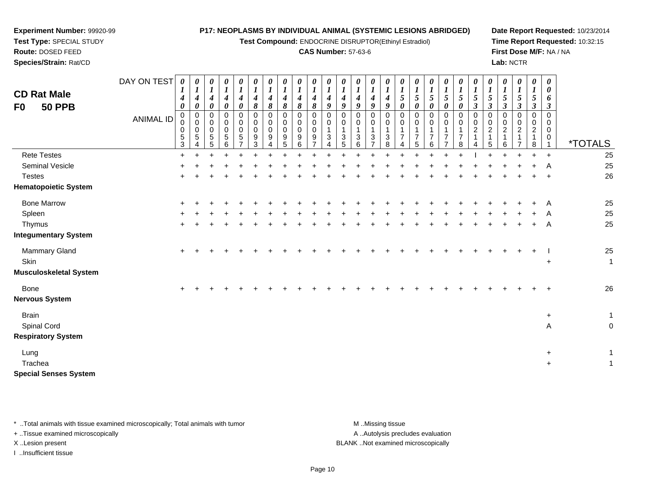**Test Compound:** ENDOCRINE DISRUPTOR(Ethinyl Estradiol)

#### **CAS Number:** 57-63-6

**Date Report Requested:** 10/23/2014**Time Report Requested:** 10:32:15**First Dose M/F:** NA / NA**Lab:** NCTR

 $+$  1

 $+$  1

| <b>CD Rat Male</b><br><b>50 PPB</b><br>F0                | DAY ON TEST<br><b>ANIMAL ID</b> | 0<br>1<br>4<br>0<br>0<br>0<br>0<br>5<br>3 | $\boldsymbol{l}$<br>$\boldsymbol{4}$<br>0<br>0<br>$\,0\,$<br>$\,0\,$<br>$\sqrt{5}$ | $\boldsymbol{\theta}$<br>$\boldsymbol{l}$<br>$\boldsymbol{4}$<br>$\boldsymbol{\theta}$<br>0<br>$\pmb{0}$<br>$\pmb{0}$<br>5<br>5 | 0<br>$\boldsymbol{l}$<br>$\boldsymbol{4}$<br>0<br>0<br>0<br>0<br>5<br>6 | 0<br>$\boldsymbol{l}$<br>$\boldsymbol{4}$<br>0<br>0<br>0<br>$\mathbf 0$<br>5 | 0<br>4<br>8<br>0<br>0<br>0<br>9<br>3 | 0<br>$\boldsymbol{l}$<br>$\boldsymbol{4}$<br>$\pmb{8}$<br>0<br>0<br>0<br>9 | 0<br>$\boldsymbol{l}$<br>4<br>8<br>0<br>0<br>$\mathbf 0$<br>9<br>5 | 0<br>$\boldsymbol{l}$<br>$\boldsymbol{4}$<br>8<br>0<br>$\pmb{0}$<br>$\pmb{0}$<br>9<br>6 | 0<br>$\boldsymbol{l}$<br>4<br>8<br>0<br>0<br>0<br>9 | $\boldsymbol{l}$<br>4<br>9<br>0<br>$\mathbf 0$<br>$\mathbf 1$<br>3 | 0<br>$\boldsymbol{l}$<br>$\boldsymbol{4}$<br>9<br>0<br>0<br>3 | 0<br>$\boldsymbol{l}$<br>$\boldsymbol{4}$<br>9<br>0<br>0<br>3<br>6 | 0<br>$\boldsymbol{l}$<br>$\boldsymbol{4}$<br>9<br>$\pmb{0}$<br>$\pmb{0}$<br>$\overline{1}$<br>$\mathbf{3}$<br>$\overline{ }$ | 0<br>$\boldsymbol{l}$<br>4<br>9<br>0<br>0<br>1<br>3<br>8 | $\boldsymbol{\theta}$<br>$\boldsymbol{l}$<br>$\sqrt{5}$<br>0<br>0<br>0<br>$\mathbf{1}$<br>$\overline{7}$ | 5<br>0<br>0<br>0<br>5 | 0<br>$\boldsymbol{l}$<br>$\sqrt{5}$<br>0<br>0<br>0<br>7<br>6 | 0<br>$\boldsymbol{l}$<br>$\sqrt{5}$<br>0<br>0<br>0<br>$\mathbf 1$<br>$\overline{7}$<br>$\overline{ }$ | 0<br>5<br>0<br>0<br>0<br>$\overline{7}$<br>8 | 0<br>$\boldsymbol{l}$<br>$\mathfrak{s}$<br>$\boldsymbol{\beta}$<br>0<br>0<br>$\overline{c}$ | 0<br>$\boldsymbol{l}$<br>$\sqrt{5}$<br>$\boldsymbol{\beta}$<br>$\mathbf 0$<br>0<br>$\boldsymbol{2}$ | 0<br>$\boldsymbol{l}$<br>5<br>$\boldsymbol{\beta}$<br>0<br>0<br>$\overline{a}$<br>6 | 0<br>$\boldsymbol{l}$<br>5<br>$\boldsymbol{\beta}$<br>0<br>0<br>$\overline{c}$ | 0<br>$\boldsymbol{l}$<br>$\mathfrak{s}$<br>$\boldsymbol{\beta}$<br>$\mathbf 0$<br>0<br>$\overline{c}$<br>1<br>8 | 0<br>0<br>6<br>$\boldsymbol{\beta}$<br>0<br>0<br>0<br>0 | <i><b>*TOTALS</b></i>     |
|----------------------------------------------------------|---------------------------------|-------------------------------------------|------------------------------------------------------------------------------------|---------------------------------------------------------------------------------------------------------------------------------|-------------------------------------------------------------------------|------------------------------------------------------------------------------|--------------------------------------|----------------------------------------------------------------------------|--------------------------------------------------------------------|-----------------------------------------------------------------------------------------|-----------------------------------------------------|--------------------------------------------------------------------|---------------------------------------------------------------|--------------------------------------------------------------------|------------------------------------------------------------------------------------------------------------------------------|----------------------------------------------------------|----------------------------------------------------------------------------------------------------------|-----------------------|--------------------------------------------------------------|-------------------------------------------------------------------------------------------------------|----------------------------------------------|---------------------------------------------------------------------------------------------|-----------------------------------------------------------------------------------------------------|-------------------------------------------------------------------------------------|--------------------------------------------------------------------------------|-----------------------------------------------------------------------------------------------------------------|---------------------------------------------------------|---------------------------|
| <b>Rete Testes</b>                                       |                                 | $\ddot{}$                                 |                                                                                    |                                                                                                                                 |                                                                         |                                                                              |                                      |                                                                            |                                                                    |                                                                                         |                                                     |                                                                    |                                                               |                                                                    |                                                                                                                              |                                                          |                                                                                                          |                       |                                                              |                                                                                                       |                                              |                                                                                             |                                                                                                     |                                                                                     |                                                                                |                                                                                                                 | $\ddot{}$                                               | 25                        |
| Seminal Vesicle                                          |                                 |                                           |                                                                                    |                                                                                                                                 |                                                                         |                                                                              |                                      |                                                                            |                                                                    |                                                                                         |                                                     |                                                                    |                                                               |                                                                    |                                                                                                                              |                                                          |                                                                                                          |                       |                                                              |                                                                                                       |                                              |                                                                                             |                                                                                                     |                                                                                     |                                                                                |                                                                                                                 | A                                                       | 25                        |
| <b>Testes</b>                                            |                                 |                                           |                                                                                    |                                                                                                                                 |                                                                         |                                                                              |                                      |                                                                            |                                                                    |                                                                                         |                                                     |                                                                    |                                                               |                                                                    |                                                                                                                              |                                                          |                                                                                                          |                       |                                                              |                                                                                                       |                                              |                                                                                             |                                                                                                     |                                                                                     |                                                                                |                                                                                                                 | $\div$                                                  | 26                        |
| <b>Hematopoietic System</b>                              |                                 |                                           |                                                                                    |                                                                                                                                 |                                                                         |                                                                              |                                      |                                                                            |                                                                    |                                                                                         |                                                     |                                                                    |                                                               |                                                                    |                                                                                                                              |                                                          |                                                                                                          |                       |                                                              |                                                                                                       |                                              |                                                                                             |                                                                                                     |                                                                                     |                                                                                |                                                                                                                 |                                                         |                           |
| <b>Bone Marrow</b>                                       |                                 | ÷                                         |                                                                                    |                                                                                                                                 |                                                                         |                                                                              |                                      |                                                                            |                                                                    |                                                                                         |                                                     |                                                                    |                                                               |                                                                    |                                                                                                                              |                                                          |                                                                                                          |                       |                                                              |                                                                                                       |                                              |                                                                                             |                                                                                                     |                                                                                     |                                                                                |                                                                                                                 | A                                                       | 25                        |
| Spleen                                                   |                                 |                                           |                                                                                    |                                                                                                                                 |                                                                         |                                                                              |                                      |                                                                            |                                                                    |                                                                                         |                                                     |                                                                    |                                                               |                                                                    |                                                                                                                              |                                                          |                                                                                                          |                       |                                                              |                                                                                                       |                                              |                                                                                             |                                                                                                     |                                                                                     |                                                                                |                                                                                                                 | A                                                       | 25                        |
| Thymus                                                   |                                 | $+$                                       |                                                                                    |                                                                                                                                 |                                                                         |                                                                              |                                      |                                                                            |                                                                    |                                                                                         |                                                     |                                                                    |                                                               |                                                                    |                                                                                                                              |                                                          |                                                                                                          |                       |                                                              |                                                                                                       |                                              |                                                                                             |                                                                                                     |                                                                                     |                                                                                | $\ddot{}$                                                                                                       | A                                                       | 25                        |
| <b>Integumentary System</b>                              |                                 |                                           |                                                                                    |                                                                                                                                 |                                                                         |                                                                              |                                      |                                                                            |                                                                    |                                                                                         |                                                     |                                                                    |                                                               |                                                                    |                                                                                                                              |                                                          |                                                                                                          |                       |                                                              |                                                                                                       |                                              |                                                                                             |                                                                                                     |                                                                                     |                                                                                |                                                                                                                 |                                                         |                           |
| Mammary Gland<br>Skin<br><b>Musculoskeletal System</b>   |                                 |                                           |                                                                                    |                                                                                                                                 |                                                                         |                                                                              |                                      |                                                                            |                                                                    |                                                                                         |                                                     |                                                                    |                                                               |                                                                    |                                                                                                                              |                                                          |                                                                                                          |                       |                                                              |                                                                                                       |                                              |                                                                                             |                                                                                                     |                                                                                     |                                                                                |                                                                                                                 | $\ddot{}$                                               | 25<br>$\mathbf{1}$        |
| Bone<br><b>Nervous System</b>                            |                                 | +                                         |                                                                                    |                                                                                                                                 |                                                                         |                                                                              |                                      |                                                                            |                                                                    |                                                                                         |                                                     |                                                                    |                                                               |                                                                    |                                                                                                                              |                                                          |                                                                                                          |                       |                                                              |                                                                                                       |                                              |                                                                                             |                                                                                                     |                                                                                     |                                                                                |                                                                                                                 |                                                         | 26                        |
| <b>Brain</b><br>Spinal Cord<br><b>Respiratory System</b> |                                 |                                           |                                                                                    |                                                                                                                                 |                                                                         |                                                                              |                                      |                                                                            |                                                                    |                                                                                         |                                                     |                                                                    |                                                               |                                                                    |                                                                                                                              |                                                          |                                                                                                          |                       |                                                              |                                                                                                       |                                              |                                                                                             |                                                                                                     |                                                                                     |                                                                                |                                                                                                                 | $\ddot{}$<br>A                                          | $\mathbf{1}$<br>$\pmb{0}$ |

Lung <sup>+</sup>Tracheaа в най-верности на селото на селото на селото на селото на селото на селото на селото на селото на селото на<br>Селото на селото на селото на селото на селото на селото на селото на селото на селото на селото на селото на **Special Senses System**

**Experiment Number:** 99920-99**Test Type:** SPECIAL STUDY**Route:** DOSED FEED**Species/Strain:** Rat/CD

\* ..Total animals with tissue examined microscopically; Total animals with tumor **M** ...Missing tissue M ...Missing tissue A ..Autolysis precludes evaluation + ..Tissue examined microscopically X ..Lesion present BLANK ..Not examined microscopicallyI ..Insufficient tissue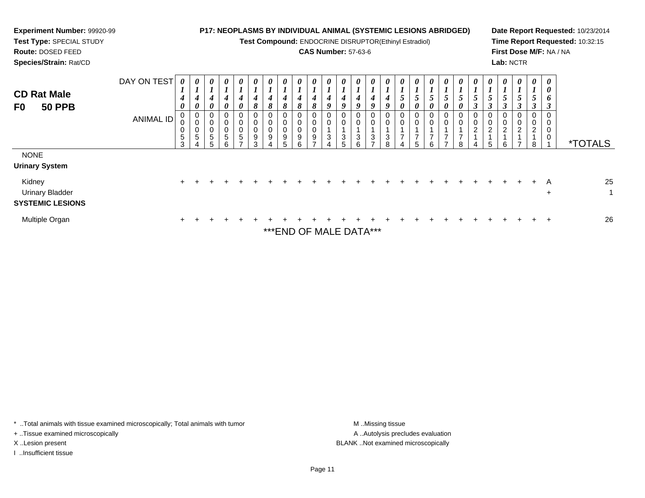| <b>Experiment Number: 99920-99</b><br>Test Type: SPECIAL STUDY<br>Route: DOSED FEED<br>Species/Strain: Rat/CD |                          |                                 |                                                |             |                                      |                                     |                           |               | <b>P17: NEOPLASMS BY INDIVIDUAL ANIMAL (SYSTEMIC LESIONS ABRIDGED)</b><br>Test Compound: ENDOCRINE DISRUPTOR(Ethinyl Estradiol) |        |        | <b>CAS Number: 57-63-6</b> |   |                              |                       |                       |  |               |   |   |   | Lab: NCTR          |                    |                                         | First Dose M/F: NA / NA | Date Report Requested: 10/23/2014<br>Time Report Requested: 10:32:15 |
|---------------------------------------------------------------------------------------------------------------|--------------------------|---------------------------------|------------------------------------------------|-------------|--------------------------------------|-------------------------------------|---------------------------|---------------|---------------------------------------------------------------------------------------------------------------------------------|--------|--------|----------------------------|---|------------------------------|-----------------------|-----------------------|--|---------------|---|---|---|--------------------|--------------------|-----------------------------------------|-------------------------|----------------------------------------------------------------------|
| <b>CD Rat Male</b><br><b>50 PPB</b><br>F0                                                                     | DAY ON TEST<br>ANIMAL ID | $\boldsymbol{\theta}$<br>5<br>3 | $\boldsymbol{\theta}$<br>$\mathbf 0$<br>0<br>5 | 0<br>0<br>5 | $\boldsymbol{\theta}$<br>0<br>0<br>5 | 0<br>$\theta$<br>$\Omega$<br>0<br>5 | $\boldsymbol{\mathit{U}}$ | $\theta$<br>9 | 0<br>9                                                                                                                          | 8<br>9 | U<br>8 |                            | U | $\theta$<br>9<br>0<br>3<br>6 | $\boldsymbol{\theta}$ | 0<br>9<br>0<br>3<br>R |  | $\theta$<br>ี | 0 | 8 | 2 | $\theta$<br>2<br>6 | $\theta$<br>0<br>2 | 0<br>3<br>0<br>$\overline{c}$<br>1<br>8 | $\theta$<br>0<br>6<br>0 | <i><b>*TOTALS</b></i>                                                |
| <b>NONE</b><br><b>Urinary System</b><br>Kidney<br>Urinary Bladder<br><b>SYSTEMIC LESIONS</b>                  |                          |                                 |                                                |             |                                      |                                     |                           |               |                                                                                                                                 |        |        |                            |   |                              |                       |                       |  |               |   |   |   |                    |                    |                                         | A<br>$\ddot{}$          | 25<br>$\mathbf 1$                                                    |
| Multiple Organ                                                                                                |                          |                                 |                                                |             |                                      |                                     |                           |               | ***FIIR AF                                                                                                                      |        |        |                            |   |                              |                       |                       |  |               |   |   |   |                    |                    |                                         |                         | 26                                                                   |

\*\*\*END OF MALE DATA\*\*\*

\* ..Total animals with tissue examined microscopically; Total animals with tumor M..Missing tissue M ..Missing tissue

+ ..Tissue examined microscopically

I ..Insufficient tissue

A ..Autolysis precludes evaluation X ..Lesion present BLANK ..Not examined microscopically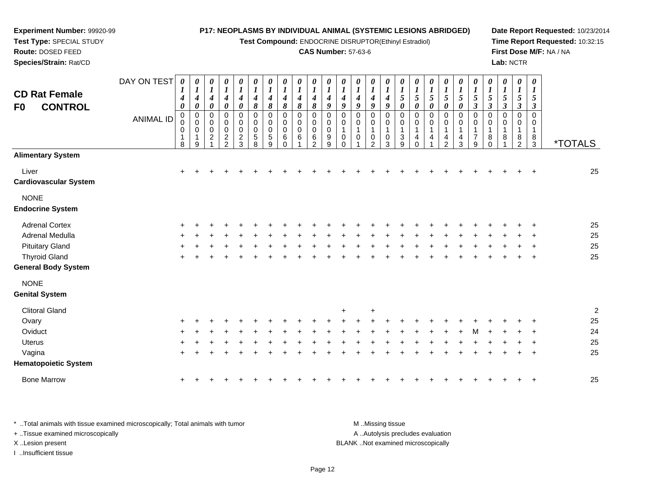**Test Compound:** ENDOCRINE DISRUPTOR(Ethinyl Estradiol)

#### **CAS Number:** 57-63-6

**Date Report Requested:** 10/23/2014**Time Report Requested:** 10:32:15**First Dose M/F:** NA / NA**Lab:** NCTR

| <b>CD Rat Female</b><br><b>CONTROL</b><br>F <sub>0</sub> | DAY ON TEST<br><b>ANIMAL ID</b> | $\boldsymbol{\theta}$<br>$\boldsymbol{l}$<br>$\boldsymbol{4}$<br>$\boldsymbol{\theta}$<br>$\pmb{0}$<br>0<br>$\mathbf 0$<br>8 | 0<br>$\boldsymbol{l}$<br>4<br>$\pmb{\theta}$<br>$\pmb{0}$<br>$\pmb{0}$<br>0<br>$\mathbf 1$<br>9 | $\pmb{\theta}$<br>$\boldsymbol{l}$<br>$\boldsymbol{4}$<br>$\pmb{\theta}$<br>$\pmb{0}$<br>$\mathbf 0$<br>$\mathbf 0$<br>$\boldsymbol{2}$ | 0<br>$\boldsymbol{l}$<br>4<br>0<br>0<br>$\boldsymbol{0}$<br>$\pmb{0}$<br>$\overline{c}$<br>2 | 0<br>$\boldsymbol{l}$<br>$\boldsymbol{4}$<br>0<br>0<br>$\pmb{0}$<br>$\pmb{0}$<br>$\sqrt{2}$<br>3 | $\pmb{\theta}$<br>$\boldsymbol{l}$<br>$\boldsymbol{4}$<br>$\pmb{8}$<br>$\mathbf 0$<br>$\,0\,$<br>$\pmb{0}$<br>$\sqrt{5}$<br>8 | $\pmb{\theta}$<br>$\boldsymbol{l}$<br>$\boldsymbol{4}$<br>$\pmb{8}$<br>$\pmb{0}$<br>$\,0\,$<br>$\mathbf 0$<br>$\sqrt{5}$<br>9 | 0<br>$\boldsymbol{l}$<br>$\boldsymbol{4}$<br>8<br>$\mathbf 0$<br>0<br>0<br>6<br>$\Omega$ | 0<br>$\boldsymbol{l}$<br>4<br>$\pmb{8}$<br>$\mathbf 0$<br>0<br>$\mathbf 0$<br>6 | $\boldsymbol{\theta}$<br>1<br>4<br>8<br>$\mathbf 0$<br>$\Omega$<br>$\mathbf 0$<br>6<br>$\mathfrak{p}$ | $\boldsymbol{\theta}$<br>$\boldsymbol{l}$<br>4<br>9<br>$\mathbf 0$<br>$\mathbf 0$<br>$\pmb{0}$<br>$\boldsymbol{9}$<br>9 | 0<br>$\boldsymbol{l}$<br>$\boldsymbol{4}$<br>9<br>0<br>$\mathbf 0$<br>$\mathbf{1}$<br>$\mathbf 0$<br>$\Omega$ | $\pmb{\theta}$<br>$\boldsymbol{l}$<br>$\boldsymbol{4}$<br>9<br>0<br>0<br>$\overline{1}$<br>$\mathbf 0$ | $\pmb{\theta}$<br>$\boldsymbol{l}$<br>$\boldsymbol{4}$<br>9<br>$\boldsymbol{0}$<br>$\pmb{0}$<br>$\mathbf{1}$<br>$\mathbf 0$<br>$\overline{2}$ | $\pmb{\theta}$<br>$\boldsymbol{l}$<br>$\boldsymbol{4}$<br>9<br>$\pmb{0}$<br>$\pmb{0}$<br>$\mathbf{1}$<br>$\pmb{0}$<br>3 | 0<br>$\boldsymbol{l}$<br>$\sqrt{5}$<br>$\pmb{\theta}$<br>$\mathbf 0$<br>0<br>$\mathbf{1}$<br>$\mathbf{3}$<br>9 | $\pmb{\theta}$<br>$\boldsymbol{l}$<br>$\sqrt{5}$<br>$\pmb{\theta}$<br>$\mathbf 0$<br>0<br>$\mathbf{1}$<br>4<br>$\Omega$ | $\pmb{\theta}$<br>$\boldsymbol{l}$<br>$\overline{5}$<br>$\pmb{\theta}$<br>$\mathbf 0$<br>0<br>1<br>4 | $\begin{matrix} 0 \\ 1 \end{matrix}$<br>$\sqrt{5}$<br>$\pmb{\theta}$<br>$\mathsf 0$<br>$\mathbf 0$<br>1<br>$\overline{4}$<br>2 | $\frac{\theta}{I}$<br>$\sqrt{5}$<br>0<br>0<br>$\boldsymbol{0}$<br>$\mathbf{1}$<br>$\overline{4}$<br>3 | 0<br>$\boldsymbol{l}$<br>$\sqrt{5}$<br>$\mathfrak{z}$<br>$\pmb{0}$<br>$\pmb{0}$<br>$\mathbf{1}$<br>$\overline{7}$<br>9 | $\boldsymbol{\theta}$<br>$\boldsymbol{l}$<br>$\sqrt{5}$<br>$\boldsymbol{\beta}$<br>$\pmb{0}$<br>$\pmb{0}$<br>$\mathbf{1}$<br>$\bf 8$<br>$\Omega$ | 0<br>$\boldsymbol{l}$<br>$\sqrt{5}$<br>$\boldsymbol{\mathfrak{z}}$<br>$\pmb{0}$<br>$\,0\,$<br>$\mathbf{1}$<br>8 | $\boldsymbol{\theta}$<br>$\boldsymbol{l}$<br>$\sqrt{5}$<br>$\boldsymbol{\beta}$<br>$\pmb{0}$<br>0<br>$\mathbf{1}$<br>8<br>2 | $\pmb{\theta}$<br>$\boldsymbol{l}$<br>5<br>$\boldsymbol{\beta}$<br>$\mathbf 0$<br>0<br>$\mathbf{1}$<br>8<br>3 | <i><b>*TOTALS</b></i> |
|----------------------------------------------------------|---------------------------------|------------------------------------------------------------------------------------------------------------------------------|-------------------------------------------------------------------------------------------------|-----------------------------------------------------------------------------------------------------------------------------------------|----------------------------------------------------------------------------------------------|--------------------------------------------------------------------------------------------------|-------------------------------------------------------------------------------------------------------------------------------|-------------------------------------------------------------------------------------------------------------------------------|------------------------------------------------------------------------------------------|---------------------------------------------------------------------------------|-------------------------------------------------------------------------------------------------------|-------------------------------------------------------------------------------------------------------------------------|---------------------------------------------------------------------------------------------------------------|--------------------------------------------------------------------------------------------------------|-----------------------------------------------------------------------------------------------------------------------------------------------|-------------------------------------------------------------------------------------------------------------------------|----------------------------------------------------------------------------------------------------------------|-------------------------------------------------------------------------------------------------------------------------|------------------------------------------------------------------------------------------------------|--------------------------------------------------------------------------------------------------------------------------------|-------------------------------------------------------------------------------------------------------|------------------------------------------------------------------------------------------------------------------------|--------------------------------------------------------------------------------------------------------------------------------------------------|-----------------------------------------------------------------------------------------------------------------|-----------------------------------------------------------------------------------------------------------------------------|---------------------------------------------------------------------------------------------------------------|-----------------------|
| <b>Alimentary System</b>                                 |                                 |                                                                                                                              |                                                                                                 |                                                                                                                                         |                                                                                              |                                                                                                  |                                                                                                                               |                                                                                                                               |                                                                                          |                                                                                 |                                                                                                       |                                                                                                                         |                                                                                                               |                                                                                                        |                                                                                                                                               |                                                                                                                         |                                                                                                                |                                                                                                                         |                                                                                                      |                                                                                                                                |                                                                                                       |                                                                                                                        |                                                                                                                                                  |                                                                                                                 |                                                                                                                             |                                                                                                               |                       |
| Liver<br><b>Cardiovascular System</b>                    |                                 | $\ddot{}$                                                                                                                    |                                                                                                 |                                                                                                                                         |                                                                                              |                                                                                                  |                                                                                                                               |                                                                                                                               |                                                                                          |                                                                                 |                                                                                                       |                                                                                                                         |                                                                                                               |                                                                                                        |                                                                                                                                               |                                                                                                                         |                                                                                                                |                                                                                                                         |                                                                                                      |                                                                                                                                |                                                                                                       |                                                                                                                        |                                                                                                                                                  |                                                                                                                 |                                                                                                                             |                                                                                                               | 25                    |
| <b>NONE</b><br><b>Endocrine System</b>                   |                                 |                                                                                                                              |                                                                                                 |                                                                                                                                         |                                                                                              |                                                                                                  |                                                                                                                               |                                                                                                                               |                                                                                          |                                                                                 |                                                                                                       |                                                                                                                         |                                                                                                               |                                                                                                        |                                                                                                                                               |                                                                                                                         |                                                                                                                |                                                                                                                         |                                                                                                      |                                                                                                                                |                                                                                                       |                                                                                                                        |                                                                                                                                                  |                                                                                                                 |                                                                                                                             |                                                                                                               |                       |
| <b>Adrenal Cortex</b>                                    |                                 |                                                                                                                              |                                                                                                 |                                                                                                                                         |                                                                                              |                                                                                                  |                                                                                                                               |                                                                                                                               |                                                                                          |                                                                                 |                                                                                                       |                                                                                                                         |                                                                                                               |                                                                                                        |                                                                                                                                               |                                                                                                                         |                                                                                                                |                                                                                                                         |                                                                                                      |                                                                                                                                |                                                                                                       |                                                                                                                        |                                                                                                                                                  |                                                                                                                 |                                                                                                                             |                                                                                                               | 25                    |
| Adrenal Medulla                                          |                                 |                                                                                                                              |                                                                                                 |                                                                                                                                         |                                                                                              |                                                                                                  |                                                                                                                               |                                                                                                                               |                                                                                          |                                                                                 |                                                                                                       |                                                                                                                         |                                                                                                               |                                                                                                        |                                                                                                                                               |                                                                                                                         |                                                                                                                |                                                                                                                         |                                                                                                      |                                                                                                                                |                                                                                                       |                                                                                                                        |                                                                                                                                                  |                                                                                                                 |                                                                                                                             |                                                                                                               | 25                    |
| <b>Pituitary Gland</b>                                   |                                 |                                                                                                                              |                                                                                                 |                                                                                                                                         |                                                                                              |                                                                                                  |                                                                                                                               |                                                                                                                               |                                                                                          |                                                                                 |                                                                                                       |                                                                                                                         |                                                                                                               |                                                                                                        |                                                                                                                                               |                                                                                                                         |                                                                                                                |                                                                                                                         |                                                                                                      |                                                                                                                                |                                                                                                       |                                                                                                                        |                                                                                                                                                  |                                                                                                                 |                                                                                                                             |                                                                                                               | 25                    |
| <b>Thyroid Gland</b>                                     |                                 |                                                                                                                              |                                                                                                 |                                                                                                                                         |                                                                                              |                                                                                                  |                                                                                                                               |                                                                                                                               |                                                                                          |                                                                                 |                                                                                                       |                                                                                                                         |                                                                                                               |                                                                                                        |                                                                                                                                               |                                                                                                                         |                                                                                                                |                                                                                                                         |                                                                                                      |                                                                                                                                |                                                                                                       |                                                                                                                        |                                                                                                                                                  |                                                                                                                 |                                                                                                                             | $\overline{1}$                                                                                                | 25                    |
| <b>General Body System</b>                               |                                 |                                                                                                                              |                                                                                                 |                                                                                                                                         |                                                                                              |                                                                                                  |                                                                                                                               |                                                                                                                               |                                                                                          |                                                                                 |                                                                                                       |                                                                                                                         |                                                                                                               |                                                                                                        |                                                                                                                                               |                                                                                                                         |                                                                                                                |                                                                                                                         |                                                                                                      |                                                                                                                                |                                                                                                       |                                                                                                                        |                                                                                                                                                  |                                                                                                                 |                                                                                                                             |                                                                                                               |                       |
| <b>NONE</b>                                              |                                 |                                                                                                                              |                                                                                                 |                                                                                                                                         |                                                                                              |                                                                                                  |                                                                                                                               |                                                                                                                               |                                                                                          |                                                                                 |                                                                                                       |                                                                                                                         |                                                                                                               |                                                                                                        |                                                                                                                                               |                                                                                                                         |                                                                                                                |                                                                                                                         |                                                                                                      |                                                                                                                                |                                                                                                       |                                                                                                                        |                                                                                                                                                  |                                                                                                                 |                                                                                                                             |                                                                                                               |                       |
| <b>Genital System</b>                                    |                                 |                                                                                                                              |                                                                                                 |                                                                                                                                         |                                                                                              |                                                                                                  |                                                                                                                               |                                                                                                                               |                                                                                          |                                                                                 |                                                                                                       |                                                                                                                         |                                                                                                               |                                                                                                        |                                                                                                                                               |                                                                                                                         |                                                                                                                |                                                                                                                         |                                                                                                      |                                                                                                                                |                                                                                                       |                                                                                                                        |                                                                                                                                                  |                                                                                                                 |                                                                                                                             |                                                                                                               |                       |
| <b>Clitoral Gland</b>                                    |                                 |                                                                                                                              |                                                                                                 |                                                                                                                                         |                                                                                              |                                                                                                  |                                                                                                                               |                                                                                                                               |                                                                                          |                                                                                 |                                                                                                       |                                                                                                                         | $\ddot{}$                                                                                                     |                                                                                                        | $\ddot{}$                                                                                                                                     |                                                                                                                         |                                                                                                                |                                                                                                                         |                                                                                                      |                                                                                                                                |                                                                                                       |                                                                                                                        |                                                                                                                                                  |                                                                                                                 |                                                                                                                             |                                                                                                               | $\overline{2}$        |
| Ovary                                                    |                                 |                                                                                                                              |                                                                                                 |                                                                                                                                         |                                                                                              |                                                                                                  |                                                                                                                               |                                                                                                                               |                                                                                          |                                                                                 |                                                                                                       |                                                                                                                         |                                                                                                               |                                                                                                        |                                                                                                                                               |                                                                                                                         |                                                                                                                |                                                                                                                         |                                                                                                      |                                                                                                                                |                                                                                                       |                                                                                                                        |                                                                                                                                                  |                                                                                                                 |                                                                                                                             |                                                                                                               | 25                    |
| Oviduct                                                  |                                 |                                                                                                                              |                                                                                                 |                                                                                                                                         |                                                                                              |                                                                                                  |                                                                                                                               |                                                                                                                               |                                                                                          |                                                                                 |                                                                                                       |                                                                                                                         |                                                                                                               |                                                                                                        |                                                                                                                                               |                                                                                                                         |                                                                                                                |                                                                                                                         |                                                                                                      |                                                                                                                                |                                                                                                       |                                                                                                                        |                                                                                                                                                  |                                                                                                                 |                                                                                                                             |                                                                                                               | 24                    |
| <b>Uterus</b>                                            |                                 |                                                                                                                              |                                                                                                 |                                                                                                                                         |                                                                                              |                                                                                                  |                                                                                                                               |                                                                                                                               |                                                                                          |                                                                                 |                                                                                                       |                                                                                                                         |                                                                                                               |                                                                                                        |                                                                                                                                               |                                                                                                                         |                                                                                                                |                                                                                                                         |                                                                                                      |                                                                                                                                |                                                                                                       |                                                                                                                        |                                                                                                                                                  |                                                                                                                 |                                                                                                                             |                                                                                                               | 25                    |
| Vagina                                                   |                                 | $\ddot{}$                                                                                                                    |                                                                                                 |                                                                                                                                         |                                                                                              |                                                                                                  |                                                                                                                               |                                                                                                                               |                                                                                          |                                                                                 |                                                                                                       |                                                                                                                         |                                                                                                               |                                                                                                        |                                                                                                                                               |                                                                                                                         |                                                                                                                |                                                                                                                         |                                                                                                      |                                                                                                                                |                                                                                                       |                                                                                                                        |                                                                                                                                                  |                                                                                                                 |                                                                                                                             | $\ddot{}$                                                                                                     | 25                    |
| <b>Hematopoietic System</b>                              |                                 |                                                                                                                              |                                                                                                 |                                                                                                                                         |                                                                                              |                                                                                                  |                                                                                                                               |                                                                                                                               |                                                                                          |                                                                                 |                                                                                                       |                                                                                                                         |                                                                                                               |                                                                                                        |                                                                                                                                               |                                                                                                                         |                                                                                                                |                                                                                                                         |                                                                                                      |                                                                                                                                |                                                                                                       |                                                                                                                        |                                                                                                                                                  |                                                                                                                 |                                                                                                                             |                                                                                                               |                       |
| <b>Bone Marrow</b>                                       |                                 | +                                                                                                                            |                                                                                                 |                                                                                                                                         |                                                                                              |                                                                                                  |                                                                                                                               |                                                                                                                               |                                                                                          |                                                                                 |                                                                                                       |                                                                                                                         |                                                                                                               |                                                                                                        |                                                                                                                                               |                                                                                                                         |                                                                                                                |                                                                                                                         |                                                                                                      |                                                                                                                                |                                                                                                       |                                                                                                                        |                                                                                                                                                  |                                                                                                                 |                                                                                                                             |                                                                                                               | 25                    |

\* ..Total animals with tissue examined microscopically; Total animals with tumor **M** . Missing tissue M ..Missing tissue A ..Autolysis precludes evaluation + ..Tissue examined microscopically X ..Lesion present BLANK ..Not examined microscopicallyI ..Insufficient tissue

**Experiment Number:** 99920-99**Test Type:** SPECIAL STUDY**Route:** DOSED FEED**Species/Strain:** Rat/CD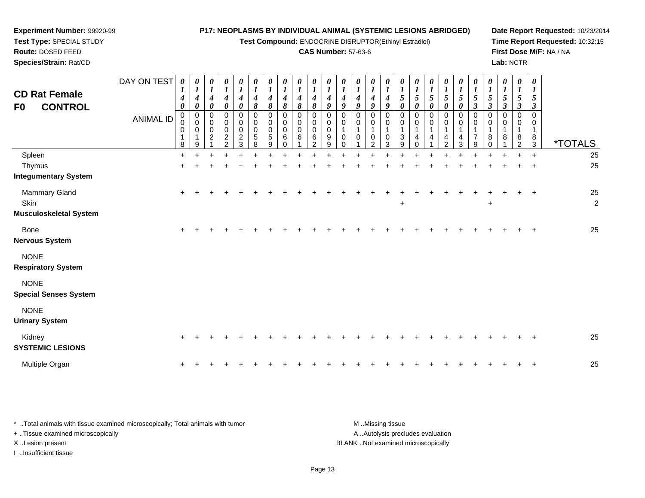*0 1*

*0 1*

*0 1*

**Test Compound:** ENDOCRINE DISRUPTOR(Ethinyl Estradiol)

#### **CAS Number:** 57-63-6

*0 1*

*0 1*

*0 1*

*0 1*

*0 1*

*0 1*

*0 1*

*0 1*

*0 1*

*0 1*

*0 1*

*0 1*

*0 1*

*0 1*

*0 1*

**Date Report Requested:** 10/23/2014**Time Report Requested:** 10:32:15**First Dose M/F:** NA / NA**Lab:** NCTR

**Test Type:** SPECIAL STUDY**Route:** DOSED FEED **Species/Strain:** Rat/CDDAY ON TEST *0 1***CD Rat Female***0 10 10 10 10 10 1*

**Experiment Number:** 99920-99

| <b>CD Rat Female</b><br><b>CONTROL</b><br>F0           | <b>ANIMAL ID</b> | 4<br>$\boldsymbol{\theta}$<br>0<br>0<br>$\,0\,$<br>1<br>8 | 4<br>0<br>0<br>0<br>$\pmb{0}$<br>$\mathbf{1}$<br>9 | 4<br>$\boldsymbol{\theta}$<br>0<br>0<br>0<br>$\overline{c}$ | 4<br>$\boldsymbol{\theta}$<br>0<br>0<br>$\pmb{0}$<br>$\boldsymbol{2}$<br>$\mathfrak{p}$ | $\boldsymbol{4}$<br>$\boldsymbol{\theta}$<br>0<br>0<br>$\pmb{0}$<br>$\overline{c}$<br>3 | 4<br>$\pmb{8}$<br>$\mathbf 0$<br>$\mathbf 0$<br>$\pmb{0}$<br>5<br>8 | $\boldsymbol{4}$<br>$\pmb{8}$<br>0<br>$\pmb{0}$<br>$\pmb{0}$<br>$\sqrt{5}$<br>9 | 4<br>$\pmb{8}$<br>0<br>0<br>$\pmb{0}$<br>6<br>$\Omega$ | 4<br>$\pmb{8}$<br>0<br>0<br>0<br>6 | 4<br>$\pmb{8}$<br>0<br>0<br>0<br>6<br>າ | 4<br>$\boldsymbol{g}$<br>0<br>0<br>0<br>9<br>9 | 4<br>9<br>$\Omega$<br>0<br>1<br>$\mathbf 0$<br>0 | 4<br>$\boldsymbol{g}$<br>$\Omega$<br>0<br>$\mathbf{1}$<br>$\mathbf 0$ | 4<br>$\boldsymbol{g}$<br>0<br>0<br>1<br>$\pmb{0}$<br>$\overline{2}$ | 4<br>$\boldsymbol{g}$<br>0<br>0<br>1<br>$\mathbf 0$<br>3 | 5<br>$\pmb{\theta}$<br>0<br>0<br>3<br>9 | 5<br>$\pmb{\theta}$<br>0<br>0<br>1<br>4 | 5<br>$\pmb{\theta}$<br>0<br>0<br>1<br>4 | 5<br>$\boldsymbol{\theta}$<br>0<br>$\pmb{0}$<br>$\mathbf{1}$<br>4<br>$\mathcal{P}$ | 5<br>$\boldsymbol{\theta}$<br>0<br>$\mathbf 0$<br>$\mathbf{1}$<br>4<br>3 | $\mathfrak{z}$<br>$\mathfrak{z}$<br>0<br>0<br>1<br>$\overline{7}$<br>9 | 5<br>$\boldsymbol{\beta}$<br>0<br>0<br>8<br><sup>0</sup> | $\mathfrak{H}$<br>$\boldsymbol{\beta}$<br>0<br>8 | $\sqrt{5}$<br>$\mathfrak{z}$<br>$\Omega$<br>0<br>8<br>ົ | 5<br>$\boldsymbol{\beta}$<br>$\mathbf 0$<br>0<br>8<br>3 | <i><b>*TOTALS</b></i>  |
|--------------------------------------------------------|------------------|-----------------------------------------------------------|----------------------------------------------------|-------------------------------------------------------------|-----------------------------------------------------------------------------------------|-----------------------------------------------------------------------------------------|---------------------------------------------------------------------|---------------------------------------------------------------------------------|--------------------------------------------------------|------------------------------------|-----------------------------------------|------------------------------------------------|--------------------------------------------------|-----------------------------------------------------------------------|---------------------------------------------------------------------|----------------------------------------------------------|-----------------------------------------|-----------------------------------------|-----------------------------------------|------------------------------------------------------------------------------------|--------------------------------------------------------------------------|------------------------------------------------------------------------|----------------------------------------------------------|--------------------------------------------------|---------------------------------------------------------|---------------------------------------------------------|------------------------|
| Spleen                                                 |                  | $\ddot{}$                                                 |                                                    |                                                             |                                                                                         |                                                                                         |                                                                     |                                                                                 |                                                        |                                    |                                         |                                                |                                                  |                                                                       |                                                                     |                                                          |                                         |                                         |                                         |                                                                                    |                                                                          |                                                                        |                                                          |                                                  |                                                         | $\ddot{}$                                               | 25                     |
| Thymus                                                 |                  | $\ddot{}$                                                 |                                                    |                                                             |                                                                                         |                                                                                         |                                                                     |                                                                                 |                                                        |                                    |                                         |                                                |                                                  |                                                                       |                                                                     |                                                          |                                         |                                         |                                         |                                                                                    |                                                                          |                                                                        |                                                          |                                                  |                                                         | $\overline{+}$                                          | 25                     |
| <b>Integumentary System</b>                            |                  |                                                           |                                                    |                                                             |                                                                                         |                                                                                         |                                                                     |                                                                                 |                                                        |                                    |                                         |                                                |                                                  |                                                                       |                                                                     |                                                          |                                         |                                         |                                         |                                                                                    |                                                                          |                                                                        |                                                          |                                                  |                                                         |                                                         |                        |
| Mammary Gland<br>Skin<br><b>Musculoskeletal System</b> |                  | $\ddot{}$                                                 |                                                    |                                                             |                                                                                         |                                                                                         |                                                                     |                                                                                 |                                                        |                                    |                                         |                                                |                                                  |                                                                       |                                                                     |                                                          | $\ddot{}$                               |                                         |                                         |                                                                                    |                                                                          |                                                                        | $\ddot{}$                                                |                                                  |                                                         | $\ddot{}$                                               | 25<br>$\boldsymbol{2}$ |
| Bone<br><b>Nervous System</b>                          |                  | $\ddot{}$                                                 |                                                    |                                                             |                                                                                         |                                                                                         |                                                                     |                                                                                 |                                                        |                                    |                                         |                                                |                                                  |                                                                       |                                                                     |                                                          |                                         |                                         |                                         |                                                                                    |                                                                          |                                                                        |                                                          |                                                  |                                                         | $\ddot{}$                                               | 25                     |
| <b>NONE</b><br><b>Respiratory System</b>               |                  |                                                           |                                                    |                                                             |                                                                                         |                                                                                         |                                                                     |                                                                                 |                                                        |                                    |                                         |                                                |                                                  |                                                                       |                                                                     |                                                          |                                         |                                         |                                         |                                                                                    |                                                                          |                                                                        |                                                          |                                                  |                                                         |                                                         |                        |
| <b>NONE</b><br><b>Special Senses System</b>            |                  |                                                           |                                                    |                                                             |                                                                                         |                                                                                         |                                                                     |                                                                                 |                                                        |                                    |                                         |                                                |                                                  |                                                                       |                                                                     |                                                          |                                         |                                         |                                         |                                                                                    |                                                                          |                                                                        |                                                          |                                                  |                                                         |                                                         |                        |
| <b>NONE</b><br><b>Urinary System</b>                   |                  |                                                           |                                                    |                                                             |                                                                                         |                                                                                         |                                                                     |                                                                                 |                                                        |                                    |                                         |                                                |                                                  |                                                                       |                                                                     |                                                          |                                         |                                         |                                         |                                                                                    |                                                                          |                                                                        |                                                          |                                                  |                                                         |                                                         |                        |
| Kidney<br><b>SYSTEMIC LESIONS</b>                      |                  | $\ddot{}$                                                 |                                                    |                                                             |                                                                                         |                                                                                         |                                                                     |                                                                                 |                                                        |                                    |                                         |                                                |                                                  |                                                                       |                                                                     |                                                          |                                         |                                         |                                         |                                                                                    |                                                                          |                                                                        |                                                          |                                                  |                                                         |                                                         | 25                     |
| Multiple Organ                                         |                  | $\ddot{}$                                                 |                                                    |                                                             |                                                                                         |                                                                                         |                                                                     |                                                                                 |                                                        |                                    |                                         |                                                |                                                  |                                                                       |                                                                     |                                                          |                                         |                                         |                                         |                                                                                    |                                                                          |                                                                        |                                                          |                                                  |                                                         | $\ddot{}$                                               | 25                     |

\* ..Total animals with tissue examined microscopically; Total animals with tumor **M** ...Missing tissue M ...Missing tissue A .. Autolysis precludes evaluation + ..Tissue examined microscopically X ..Lesion present BLANK ..Not examined microscopicallyI ..Insufficient tissue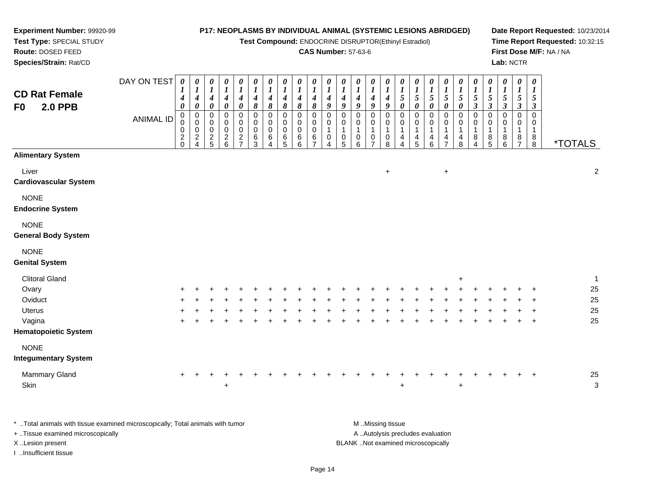**Test Compound:** ENDOCRINE DISRUPTOR(Ethinyl Estradiol)

#### **CAS Number:** 57-63-6

**Date Report Requested:** 10/23/2014**Time Report Requested:** 10:32:15**First Dose M/F:** NA / NA**Lab:** NCTR

| Species/Strain: Rat/CD                                                                       |                                 |                                                                |                                                                                                          |                                                                                                              |                                                                                                                             |                                                                                                                                   |                                                                                   |                                                                                      |                                                                            |                                                             |                                                                              |                                                                                   |                                                                                                       |                                                                                                                |                                                                                                                             |                                                                  |                                                                                                      |                                                                                           |                                                                                                                                              |                                                                                                                                 |                                                                                     |                                                                                                                             |                                                                                                        | Lab: NCTR                                                                                         |                                                                                                                |                                                                                                                    |                                          |
|----------------------------------------------------------------------------------------------|---------------------------------|----------------------------------------------------------------|----------------------------------------------------------------------------------------------------------|--------------------------------------------------------------------------------------------------------------|-----------------------------------------------------------------------------------------------------------------------------|-----------------------------------------------------------------------------------------------------------------------------------|-----------------------------------------------------------------------------------|--------------------------------------------------------------------------------------|----------------------------------------------------------------------------|-------------------------------------------------------------|------------------------------------------------------------------------------|-----------------------------------------------------------------------------------|-------------------------------------------------------------------------------------------------------|----------------------------------------------------------------------------------------------------------------|-----------------------------------------------------------------------------------------------------------------------------|------------------------------------------------------------------|------------------------------------------------------------------------------------------------------|-------------------------------------------------------------------------------------------|----------------------------------------------------------------------------------------------------------------------------------------------|---------------------------------------------------------------------------------------------------------------------------------|-------------------------------------------------------------------------------------|-----------------------------------------------------------------------------------------------------------------------------|--------------------------------------------------------------------------------------------------------|---------------------------------------------------------------------------------------------------|----------------------------------------------------------------------------------------------------------------|--------------------------------------------------------------------------------------------------------------------|------------------------------------------|
| <b>CD Rat Female</b><br><b>2.0 PPB</b><br>F0                                                 | DAY ON TEST<br><b>ANIMAL ID</b> | 0<br>1<br>4<br>0<br>$\boldsymbol{0}$<br>0<br>0<br>$^2_{\rm 0}$ | 0<br>$\boldsymbol{l}$<br>$\boldsymbol{4}$<br>0<br>$\mathbf 0$<br>$\pmb{0}$<br>0<br>$\boldsymbol{2}$<br>4 | 0<br>$\boldsymbol{l}$<br>$\boldsymbol{4}$<br>0<br>$\mathsf 0$<br>$\mathbf 0$<br>$\mathbf 0$<br>$\frac{2}{5}$ | $\pmb{\theta}$<br>$\boldsymbol{l}$<br>$\boldsymbol{4}$<br>$\pmb{\theta}$<br>$\pmb{0}$<br>$\pmb{0}$<br>0<br>$^2\phantom{1}6$ | $\pmb{\theta}$<br>$\boldsymbol{l}$<br>$\boldsymbol{4}$<br>$\boldsymbol{\theta}$<br>$\pmb{0}$<br>$\mathbf 0$<br>0<br>$\frac{2}{7}$ | 0<br>$\boldsymbol{l}$<br>$\boldsymbol{4}$<br>8<br>$\mathsf 0$<br>0<br>0<br>6<br>3 | 0<br>$\boldsymbol{l}$<br>4<br>$\pmb{8}$<br>$\mathbf 0$<br>$\mathbf 0$<br>0<br>6<br>4 | 0<br>$\boldsymbol{l}$<br>4<br>$\pmb{8}$<br>$\mathbf 0$<br>0<br>0<br>6<br>5 | 0<br>1<br>4<br>$\pmb{8}$<br>$\mathbf 0$<br>0<br>0<br>6<br>6 | 0<br>$\boldsymbol{l}$<br>$\boldsymbol{4}$<br>8<br>$\mathsf 0$<br>0<br>0<br>6 | 0<br>$\boldsymbol{l}$<br>$\boldsymbol{4}$<br>9<br>0<br>0<br>$\mathbf 1$<br>0<br>4 | 0<br>$\boldsymbol{l}$<br>$\boldsymbol{4}$<br>9<br>$\mathsf 0$<br>0<br>$\mathbf 1$<br>$\mathbf 0$<br>5 | 0<br>$\boldsymbol{l}$<br>$\boldsymbol{4}$<br>9<br>$\pmb{0}$<br>$\mathbf 0$<br>$\mathbf{1}$<br>$\mathbf 0$<br>6 | 0<br>$\boldsymbol{l}$<br>$\boldsymbol{4}$<br>9<br>$\mathbf 0$<br>$\pmb{0}$<br>$\mathbf{1}$<br>$\mathbf 0$<br>$\overline{7}$ | 0<br>$\boldsymbol{l}$<br>4<br>9<br>$\pmb{0}$<br>0<br>1<br>0<br>8 | 0<br>$\boldsymbol{l}$<br>$\mathfrak{s}$<br>0<br>$\pmb{0}$<br>0<br>$\mathbf 1$<br>4<br>$\overline{4}$ | 0<br>$\boldsymbol{l}$<br>$\mathfrak{s}$<br>0<br>$\mathbf 0$<br>0<br>$\mathbf 1$<br>4<br>5 | 0<br>$\boldsymbol{l}$<br>$\mathfrak{s}$<br>$\pmb{\theta}$<br>$\pmb{0}$<br>$\pmb{0}$<br>$\mathbf{1}$<br>$\begin{array}{c} 4 \\ 6 \end{array}$ | $\boldsymbol{\theta}$<br>$\frac{1}{5}$<br>$\boldsymbol{\theta}$<br>$\mathsf 0$<br>$\mathsf{O}$<br>$\mathbf{1}$<br>$\frac{4}{7}$ | 0<br>$\frac{1}{5}$<br>0<br>$\pmb{0}$<br>$\pmb{0}$<br>$\mathbf{1}$<br>$^{\,4}_{\,8}$ | 0<br>$\boldsymbol{l}$<br>$\sqrt{5}$<br>$\boldsymbol{\beta}$<br>$\mathbf 0$<br>$\mathsf{O}\xspace$<br>$\mathbf{1}$<br>8<br>4 | 0<br>$\boldsymbol{l}$<br>5<br>$\boldsymbol{\beta}$<br>$\pmb{0}$<br>$\pmb{0}$<br>$\mathbf{1}$<br>$^8$ 5 | 0<br>$\boldsymbol{l}$<br>$5\overline{)}$<br>$\boldsymbol{\beta}$<br>$\pmb{0}$<br>0<br>1<br>8<br>6 | 0<br>$\boldsymbol{l}$<br>$\mathfrak{H}$<br>$\boldsymbol{\beta}$<br>$\pmb{0}$<br>0<br>-1<br>8<br>$\overline{7}$ | $\boldsymbol{\theta}$<br>$\boldsymbol{I}$<br>5<br>$\boldsymbol{\beta}$<br>$\pmb{0}$<br>0<br>$\mathbf{1}$<br>8<br>8 | <i><b>*TOTALS</b></i>                    |
| <b>Alimentary System</b>                                                                     |                                 |                                                                |                                                                                                          |                                                                                                              |                                                                                                                             |                                                                                                                                   |                                                                                   |                                                                                      |                                                                            |                                                             |                                                                              |                                                                                   |                                                                                                       |                                                                                                                |                                                                                                                             |                                                                  |                                                                                                      |                                                                                           |                                                                                                                                              |                                                                                                                                 |                                                                                     |                                                                                                                             |                                                                                                        |                                                                                                   |                                                                                                                |                                                                                                                    |                                          |
| Liver<br><b>Cardiovascular System</b>                                                        |                                 |                                                                |                                                                                                          |                                                                                                              |                                                                                                                             |                                                                                                                                   |                                                                                   |                                                                                      |                                                                            |                                                             |                                                                              |                                                                                   |                                                                                                       |                                                                                                                |                                                                                                                             | $\ddot{}$                                                        |                                                                                                      |                                                                                           |                                                                                                                                              | $\ddot{}$                                                                                                                       |                                                                                     |                                                                                                                             |                                                                                                        |                                                                                                   |                                                                                                                |                                                                                                                    | $\sqrt{2}$                               |
| <b>NONE</b><br><b>Endocrine System</b>                                                       |                                 |                                                                |                                                                                                          |                                                                                                              |                                                                                                                             |                                                                                                                                   |                                                                                   |                                                                                      |                                                                            |                                                             |                                                                              |                                                                                   |                                                                                                       |                                                                                                                |                                                                                                                             |                                                                  |                                                                                                      |                                                                                           |                                                                                                                                              |                                                                                                                                 |                                                                                     |                                                                                                                             |                                                                                                        |                                                                                                   |                                                                                                                |                                                                                                                    |                                          |
| <b>NONE</b><br><b>General Body System</b>                                                    |                                 |                                                                |                                                                                                          |                                                                                                              |                                                                                                                             |                                                                                                                                   |                                                                                   |                                                                                      |                                                                            |                                                             |                                                                              |                                                                                   |                                                                                                       |                                                                                                                |                                                                                                                             |                                                                  |                                                                                                      |                                                                                           |                                                                                                                                              |                                                                                                                                 |                                                                                     |                                                                                                                             |                                                                                                        |                                                                                                   |                                                                                                                |                                                                                                                    |                                          |
| <b>NONE</b><br><b>Genital System</b>                                                         |                                 |                                                                |                                                                                                          |                                                                                                              |                                                                                                                             |                                                                                                                                   |                                                                                   |                                                                                      |                                                                            |                                                             |                                                                              |                                                                                   |                                                                                                       |                                                                                                                |                                                                                                                             |                                                                  |                                                                                                      |                                                                                           |                                                                                                                                              |                                                                                                                                 |                                                                                     |                                                                                                                             |                                                                                                        |                                                                                                   |                                                                                                                |                                                                                                                    |                                          |
| <b>Clitoral Gland</b><br>Ovary<br>Oviduct<br>Uterus<br>Vagina<br><b>Hematopoietic System</b> |                                 |                                                                |                                                                                                          |                                                                                                              |                                                                                                                             |                                                                                                                                   |                                                                                   |                                                                                      |                                                                            |                                                             |                                                                              |                                                                                   |                                                                                                       |                                                                                                                |                                                                                                                             |                                                                  |                                                                                                      |                                                                                           |                                                                                                                                              |                                                                                                                                 | $\ddot{}$                                                                           |                                                                                                                             |                                                                                                        |                                                                                                   |                                                                                                                | $\ddot{}$                                                                                                          | $\mathbf{1}$<br>$25\,$<br>25<br>25<br>25 |
| <b>NONE</b><br><b>Integumentary System</b>                                                   |                                 |                                                                |                                                                                                          |                                                                                                              |                                                                                                                             |                                                                                                                                   |                                                                                   |                                                                                      |                                                                            |                                                             |                                                                              |                                                                                   |                                                                                                       |                                                                                                                |                                                                                                                             |                                                                  |                                                                                                      |                                                                                           |                                                                                                                                              |                                                                                                                                 |                                                                                     |                                                                                                                             |                                                                                                        |                                                                                                   |                                                                                                                |                                                                                                                    |                                          |
| Mammary Gland<br>Skin                                                                        |                                 | $\ddot{}$                                                      |                                                                                                          |                                                                                                              | $\ddot{}$                                                                                                                   |                                                                                                                                   |                                                                                   |                                                                                      |                                                                            |                                                             |                                                                              |                                                                                   |                                                                                                       |                                                                                                                |                                                                                                                             |                                                                  | $\ddot{}$                                                                                            |                                                                                           |                                                                                                                                              |                                                                                                                                 | $\ddot{}$                                                                           |                                                                                                                             |                                                                                                        |                                                                                                   |                                                                                                                |                                                                                                                    | 25<br>$\sqrt{3}$                         |
|                                                                                              |                                 |                                                                |                                                                                                          |                                                                                                              |                                                                                                                             |                                                                                                                                   |                                                                                   |                                                                                      |                                                                            |                                                             |                                                                              |                                                                                   |                                                                                                       |                                                                                                                |                                                                                                                             |                                                                  |                                                                                                      |                                                                                           |                                                                                                                                              |                                                                                                                                 |                                                                                     |                                                                                                                             |                                                                                                        |                                                                                                   |                                                                                                                |                                                                                                                    |                                          |

\* ..Total animals with tissue examined microscopically; Total animals with tumor **M** . Missing tissue M ..Missing tissue A ..Autolysis precludes evaluation + ..Tissue examined microscopically X ..Lesion present BLANK ..Not examined microscopicallyI ..Insufficient tissue

**Experiment Number:** 99920-99**Test Type:** SPECIAL STUDY**Route:** DOSED FEED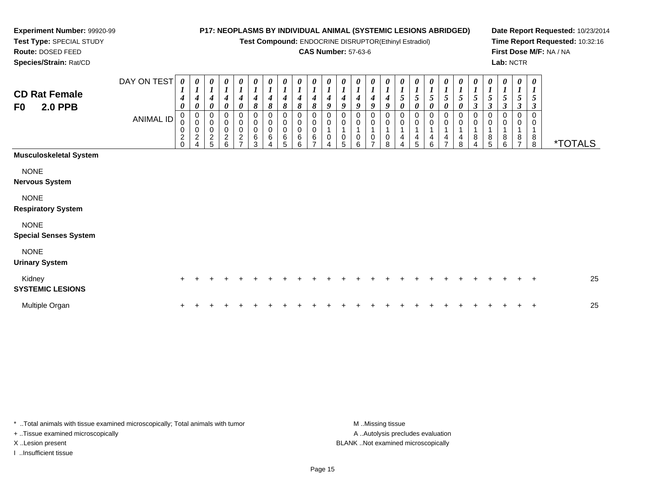**Test Compound:** ENDOCRINE DISRUPTOR(Ethinyl Estradiol)

#### **CAS Number:** 57-63-6

**Date Report Requested:** 10/23/2014**Time Report Requested:** 10:32:16**First Dose M/F:** NA / NA**Lab:** NCTR

**Route:** DOSED FEED **Species/Strain:** Rat/CDDAY ON TEST *0 1***CD Rat FemaleF0 2.0 PPB**ANIMAL ID*0 10 10 10 10 10 10 10 10 10 10 1*

| <b>CD Rat Female</b><br>F0<br><b>2.0 PPB</b>                              | DAY ON TEST<br><b>ANIMAL ID</b> | 0<br>$\mathbf{I}$<br>4<br>0<br>0<br>0<br>0<br>$\overline{\mathbf{c}}$<br>$\Omega$ | 0<br>$\mathbf{I}$<br>4<br>0<br>0<br>0<br>0<br>$\overline{c}$<br>4 | 0<br>$\boldsymbol{l}$<br>4<br>0<br>0<br>0<br>0<br>$\overline{c}$<br>5 | 0<br>$\boldsymbol{l}$<br>$\boldsymbol{4}$<br>$\pmb{\theta}$<br>0<br>$\pmb{0}$<br>$\,0\,$<br>$\overline{\mathbf{c}}$<br>6 | $\frac{\boldsymbol{\theta}}{\boldsymbol{I}}$<br>$\boldsymbol{4}$<br>$\pmb{\theta}$<br>0<br>$\pmb{0}$<br>$\mathbf 0$<br>$\boldsymbol{2}$<br>$\overline{ }$ | 0<br>$\boldsymbol{l}$<br>4<br>8<br>0<br>$\pmb{0}$<br>$\pmb{0}$<br>6<br>3 | 0<br>$\boldsymbol{l}$<br>8<br>0<br>6 | 0<br>$\boldsymbol{l}$<br>8<br>0<br>$\mathbf 0$<br>6<br>5 | 0<br>$\boldsymbol{l}$<br>4<br>8<br>0<br>0<br>0<br>6<br>6 | 0<br>$\boldsymbol{l}$<br>4<br>8<br>0<br>0<br>0<br>6<br>$\overline{ }$ | 0<br>$\boldsymbol{l}$<br>4<br>9<br>0<br>0 | 0<br>4<br>9<br>0<br>0<br>0<br>5 | 0<br>4<br>9<br>0<br>0<br>6 | 0<br>$\boldsymbol{l}$<br>4<br>9<br>0<br>0<br>$\overline{ }$ | $\boldsymbol{\theta}$<br>$\boldsymbol{l}$<br>4<br>9<br>0<br>0<br>0<br>8 | $\frac{\theta}{1}$<br>$\pmb{\theta}$<br>0<br>$\,0\,$<br>1<br>4<br>Δ | 0<br>$\frac{1}{5}$<br>0<br>0<br>0<br>$\mathbf{1}$<br>4<br>5 | 0<br>$\frac{1}{5}$<br>0<br>0<br>4<br>6 | 0<br>$\boldsymbol{l}$<br>5<br>0<br>0<br>0<br>4<br>$\overline{ }$ | 0<br>$\boldsymbol{l}$<br>5<br>0<br>0<br>0<br>8 | 0<br>$\boldsymbol{l}$<br>5<br>3<br>0<br>0<br>8<br>4 | 0<br>3<br>ö<br>5 | 0<br>5<br>3<br>0<br>8<br>6 | 0<br>5<br>$\boldsymbol{\beta}$<br>0<br>0<br>8<br>$\overline{ }$ | 0<br>$\boldsymbol{l}$<br>3<br>$_{8}^8$ | <i><b>*TOTALS</b></i> |    |
|---------------------------------------------------------------------------|---------------------------------|-----------------------------------------------------------------------------------|-------------------------------------------------------------------|-----------------------------------------------------------------------|--------------------------------------------------------------------------------------------------------------------------|-----------------------------------------------------------------------------------------------------------------------------------------------------------|--------------------------------------------------------------------------|--------------------------------------|----------------------------------------------------------|----------------------------------------------------------|-----------------------------------------------------------------------|-------------------------------------------|---------------------------------|----------------------------|-------------------------------------------------------------|-------------------------------------------------------------------------|---------------------------------------------------------------------|-------------------------------------------------------------|----------------------------------------|------------------------------------------------------------------|------------------------------------------------|-----------------------------------------------------|------------------|----------------------------|-----------------------------------------------------------------|----------------------------------------|-----------------------|----|
| Musculoskeletal System                                                    |                                 |                                                                                   |                                                                   |                                                                       |                                                                                                                          |                                                                                                                                                           |                                                                          |                                      |                                                          |                                                          |                                                                       |                                           |                                 |                            |                                                             |                                                                         |                                                                     |                                                             |                                        |                                                                  |                                                |                                                     |                  |                            |                                                                 |                                        |                       |    |
| <b>NONE</b><br>Nervous System<br><b>NONE</b><br><b>Respiratory System</b> |                                 |                                                                                   |                                                                   |                                                                       |                                                                                                                          |                                                                                                                                                           |                                                                          |                                      |                                                          |                                                          |                                                                       |                                           |                                 |                            |                                                             |                                                                         |                                                                     |                                                             |                                        |                                                                  |                                                |                                                     |                  |                            |                                                                 |                                        |                       |    |
| <b>NONE</b><br><b>Special Senses System</b>                               |                                 |                                                                                   |                                                                   |                                                                       |                                                                                                                          |                                                                                                                                                           |                                                                          |                                      |                                                          |                                                          |                                                                       |                                           |                                 |                            |                                                             |                                                                         |                                                                     |                                                             |                                        |                                                                  |                                                |                                                     |                  |                            |                                                                 |                                        |                       |    |
| <b>NONE</b><br><b>Urinary System</b>                                      |                                 |                                                                                   |                                                                   |                                                                       |                                                                                                                          |                                                                                                                                                           |                                                                          |                                      |                                                          |                                                          |                                                                       |                                           |                                 |                            |                                                             |                                                                         |                                                                     |                                                             |                                        |                                                                  |                                                |                                                     |                  |                            |                                                                 |                                        |                       |    |
| Kidney<br><b>SYSTEMIC LESIONS</b>                                         |                                 | $+$                                                                               | $\ddot{}$                                                         | +                                                                     |                                                                                                                          |                                                                                                                                                           |                                                                          |                                      |                                                          |                                                          |                                                                       |                                           |                                 |                            |                                                             |                                                                         |                                                                     |                                                             |                                        |                                                                  |                                                |                                                     |                  |                            |                                                                 | $\ddot{}$                              |                       | 25 |
| Multiple Organ                                                            |                                 | $\ddot{}$                                                                         |                                                                   |                                                                       |                                                                                                                          |                                                                                                                                                           |                                                                          |                                      |                                                          |                                                          |                                                                       |                                           |                                 |                            |                                                             |                                                                         |                                                                     |                                                             |                                        |                                                                  |                                                |                                                     |                  |                            |                                                                 | $+$                                    |                       | 25 |
|                                                                           |                                 |                                                                                   |                                                                   |                                                                       |                                                                                                                          |                                                                                                                                                           |                                                                          |                                      |                                                          |                                                          |                                                                       |                                           |                                 |                            |                                                             |                                                                         |                                                                     |                                                             |                                        |                                                                  |                                                |                                                     |                  |                            |                                                                 |                                        |                       |    |

\* ..Total animals with tissue examined microscopically; Total animals with tumor **M** . Missing tissue M ..Missing tissue + ..Tissue examined microscopically X ..Lesion present BLANK ..Not examined microscopically

I ..Insufficient tissue

**Experiment Number:** 99920-99**Test Type:** SPECIAL STUDY

A .. Autolysis precludes evaluation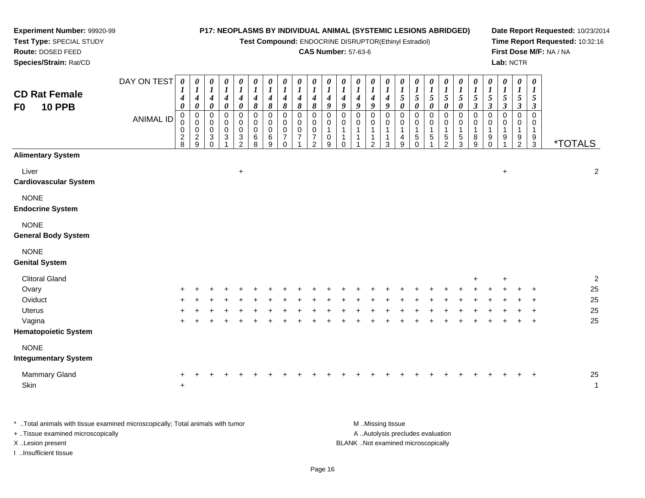#### **Experiment Number:** 99920-99**Test Type:** SPECIAL STUDY**Route:** DOSED FEED **Species/Strain:** Rat/CD**P17: NEOPLASMS BY INDIVIDUAL ANIMAL (SYSTEMIC LESIONS ABRIDGED)Test Compound:** ENDOCRINE DISRUPTOR(Ethinyl Estradiol)**CAS Number:** 57-63-6**Date Report Requested:** 10/23/2014**Time Report Requested:** 10:32:16**First Dose M/F:** NA / NA**Lab:** NCTRDAY ON TEST**CD Rat FemaleF0 10 PPB**ANIMAL ID*0 1 4 0* 0 0 0 2 8*0 1 4 0* 0 0 0 2 9*0 1 4 0* 00<br>0<br>0<br>0 *0 1 4 0* 00<br>0<br>3<br>1 *0 1 4 0* 00<br>0<br>2<br>2 *0 1 4 8* 0 0 0 6 8*0 1 4 8* 0 0 0 6 9*0 1 4 8*0<br>0<br>7<br>7 0*0 1 4 8*0<br>0<br>7<br>7 1*0 1 4 8* 0 0 0 7 2*0 1 4 9* 0 0 1 0 9*0 1 4 9* 0 0 1 1 0*0 1 4 9* 0 0 1 1 1*0 1 4 9* 0 0 1 1 2*0 1 4 9* 0 0 1 1 3*0 1 5 0* 0 0 1 4 9*0 1 5 0* 0 0 1 5 0*0 1 5 0* 0 0 1 5 1*0 1 5 0* 0 0 1 5 2*0 1 5 0* 0 0 1 5 3*0 1 5 3* 0 0 1 8 9*0 1 5 3* 0 0 1 9 0*0 1 5 3* 0 0 1 9 1*0 1 5 3* 0 0 1 9 2*0 1 5 3* 0 0 19<br>م 3 \*TOTALS**Alimentary System**Liver $\mathsf{r}$  +  $+$  2 **Cardiovascular System**NONE **Endocrine System**NONE **General Body System**NONE **Genital System**Clitoral Gland $\alpha$ <sup>+</sup> <sup>2</sup>

|  |         |                 |     |                                   |                |                    |                    |     |     |         |                        |                                    |                     |                    |     |             |     |           |                              |     |                        |                                          | 25 |
|--|---------|-----------------|-----|-----------------------------------|----------------|--------------------|--------------------|-----|-----|---------|------------------------|------------------------------------|---------------------|--------------------|-----|-------------|-----|-----------|------------------------------|-----|------------------------|------------------------------------------|----|
|  |         |                 | $+$ |                                   |                |                    |                    |     |     |         | $+$                    |                                    |                     |                    |     |             | $+$ |           |                              |     |                        |                                          | 25 |
|  |         |                 |     |                                   |                |                    |                    |     |     | $+$     |                        |                                    |                     |                    |     |             |     |           |                              |     |                        |                                          | 25 |
|  |         |                 |     |                                   |                |                    | $+$                |     | $+$ | $+$ $-$ |                        |                                    | $+$                 | $+$                | $+$ |             |     |           |                              |     |                        |                                          | 25 |
|  |         |                 |     |                                   |                |                    |                    |     |     |         |                        |                                    |                     |                    |     |             |     |           |                              |     |                        |                                          |    |
|  |         |                 |     |                                   |                |                    |                    |     |     |         |                        |                                    |                     |                    |     |             |     |           |                              |     |                        |                                          |    |
|  |         |                 |     |                                   |                |                    |                    |     |     |         |                        |                                    |                     |                    |     |             |     |           |                              |     |                        |                                          |    |
|  | $+$ $+$ | $\sim$ + $\sim$ |     | + + + + +<br>+ + + + +<br>$+$ $+$ | $+$<br>$+$ $-$ | $+$ $-$<br>$+$ $-$ | $+$ $-$<br>$+$ $+$ | $+$ |     | $+$     | + + + +<br>+ + + + + + | + + + + + + + + + + + +<br>$+$ $-$ | $+$<br>$\leftarrow$ | $+$ $-$<br>$+$ $-$ |     | $+$ $+$ $+$ |     | + + + + + | + + + + + + +<br>$+$ $+$ $+$ | $+$ | + + + + + +<br>$+$ $+$ | $+$ $+$<br>$+$ $+$<br>+ + + +<br>$+$ $+$ |    |

| Mammary Gland |  |  |  |  |  |  |  |  |  |  |  |  |  | 25 |
|---------------|--|--|--|--|--|--|--|--|--|--|--|--|--|----|
| Skin          |  |  |  |  |  |  |  |  |  |  |  |  |  |    |

\* ..Total animals with tissue examined microscopically; Total animals with tumor **M** ..Missing tissue M ..Missing tissue A ..Autolysis precludes evaluation + ..Tissue examined microscopically X ..Lesion present BLANK ..Not examined microscopicallyI ..Insufficient tissue

Page 16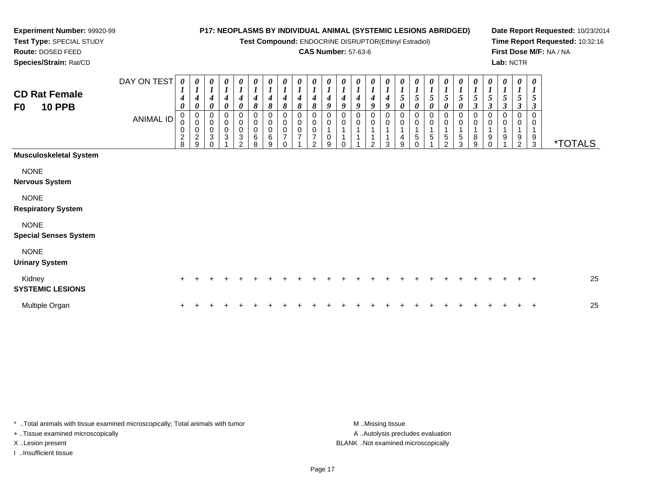**Test Compound:** ENDOCRINE DISRUPTOR(Ethinyl Estradiol)

#### **CAS Number:** 57-63-6

**Date Report Requested:** 10/23/2014**Time Report Requested:** 10:32:16**First Dose M/F:** NA / NA**Lab:** NCTR

**Route:** DOSED FEED **Species/Strain:** Rat/CDDAY ON TEST *0 10 10 10 10 10 1*

# **CD Rat FemaleF0**

**Experiment Number:** 99920-99**Test Type:** SPECIAL STUDY

| <b>CD Rat Female</b><br><b>10 PPB</b><br>F <sub>0</sub> | DAY ON TEST<br><b>ANIMAL ID</b> | 0<br>$\boldsymbol{l}$<br>$\boldsymbol{4}$<br>$\boldsymbol{\theta}$<br>0<br>0<br>$\pmb{0}$<br>$\frac{2}{8}$ | 0<br>$\mathbf{I}$<br>4<br>0<br>0<br>$\pmb{0}$<br>$\mathbf 0$<br>$\boldsymbol{2}$<br>9 | 0<br>$\boldsymbol{l}$<br>4<br>0<br>0<br>$\pmb{0}$<br>$\pmb{0}$<br>3<br>$\Omega$ | $\frac{\theta}{I}$<br>$\boldsymbol{4}$<br>$\boldsymbol{\theta}$<br>0<br>$\mathbf 0$<br>0<br>3 | 0<br>$\boldsymbol{l}$<br>4<br>0<br>0<br>$\pmb{0}$<br>0<br>$\sqrt{3}$<br>$\mathcal{P}$ | 0<br>$\boldsymbol{l}$<br>4<br>8<br>0<br>0<br>$\,0\,$<br>6<br>8 | 0<br>$\boldsymbol{l}$<br>$\boldsymbol{4}$<br>8<br>0<br>$\pmb{0}$<br>$\pmb{0}$<br>6<br>9 | 0<br>$\boldsymbol{l}$<br>4<br>8<br>0<br>$\pmb{0}$<br>0<br>$\overline{7}$<br>$\Omega$ | 0<br>$\boldsymbol{l}$<br>8<br>0<br>0 | 0<br>4<br>8<br>0<br>$\mathbf 0$<br>◠ | 0<br>$\boldsymbol{l}$<br>$\boldsymbol{4}$<br>9<br>0<br>0<br>0<br>9 | 0<br>$\boldsymbol{l}$<br>4<br>9<br>0<br>0<br>0 | 0<br>$\boldsymbol{l}$<br>4<br>9<br>0<br>$\mathbf 0$<br>$\mathbf{1}$ | 0<br>$\boldsymbol{l}$<br>4<br>9<br>0<br>$\pmb{0}$<br>ົ | 0<br>4<br>9<br>0<br>0<br>3 | 0<br>$\boldsymbol{l}$<br>$\sqrt{5}$<br>0<br>0<br>0<br>4<br>9 | $\boldsymbol{\theta}$<br>$\boldsymbol{I}$<br>$\mathfrak{s}$<br>0<br>0<br>0<br>1<br>5 | 0<br>$\boldsymbol{l}$<br>5<br>0<br>0<br>5 | 0<br>$\boldsymbol{l}$<br>$\mathfrak{s}$<br>0<br>0<br>0<br>$\overline{A}$<br>$\sqrt{5}$<br>$\mathcal{P}$ | 0<br>$\boldsymbol{l}$<br>5<br>0<br>0<br>0<br>5<br>3 | 0<br>$\boldsymbol{l}$<br>$\sqrt{5}$<br>$\boldsymbol{\beta}$<br>0<br>0<br>8<br>9 | 0<br>$\boldsymbol{l}$<br>5<br>$\boldsymbol{\beta}$<br>0<br>0<br>9<br>$\Omega$ | 0<br>$\boldsymbol{l}$<br>5<br>$\boldsymbol{\beta}$<br>0<br>9 | 0<br>$\boldsymbol{l}$<br>5<br>$\boldsymbol{\beta}$<br>0<br>9<br>$\overline{2}$ | 0<br>$\boldsymbol{l}$<br>5<br>$\boldsymbol{\beta}$<br>$\pmb{0}$<br>0<br>$\frac{9}{3}$ | <i><b>*TOTALS</b></i> |
|---------------------------------------------------------|---------------------------------|------------------------------------------------------------------------------------------------------------|---------------------------------------------------------------------------------------|---------------------------------------------------------------------------------|-----------------------------------------------------------------------------------------------|---------------------------------------------------------------------------------------|----------------------------------------------------------------|-----------------------------------------------------------------------------------------|--------------------------------------------------------------------------------------|--------------------------------------|--------------------------------------|--------------------------------------------------------------------|------------------------------------------------|---------------------------------------------------------------------|--------------------------------------------------------|----------------------------|--------------------------------------------------------------|--------------------------------------------------------------------------------------|-------------------------------------------|---------------------------------------------------------------------------------------------------------|-----------------------------------------------------|---------------------------------------------------------------------------------|-------------------------------------------------------------------------------|--------------------------------------------------------------|--------------------------------------------------------------------------------|---------------------------------------------------------------------------------------|-----------------------|
| <b>Musculoskeletal System</b>                           |                                 |                                                                                                            |                                                                                       |                                                                                 |                                                                                               |                                                                                       |                                                                |                                                                                         |                                                                                      |                                      |                                      |                                                                    |                                                |                                                                     |                                                        |                            |                                                              |                                                                                      |                                           |                                                                                                         |                                                     |                                                                                 |                                                                               |                                                              |                                                                                |                                                                                       |                       |
| <b>NONE</b>                                             |                                 |                                                                                                            |                                                                                       |                                                                                 |                                                                                               |                                                                                       |                                                                |                                                                                         |                                                                                      |                                      |                                      |                                                                    |                                                |                                                                     |                                                        |                            |                                                              |                                                                                      |                                           |                                                                                                         |                                                     |                                                                                 |                                                                               |                                                              |                                                                                |                                                                                       |                       |
| <b>Nervous System</b>                                   |                                 |                                                                                                            |                                                                                       |                                                                                 |                                                                                               |                                                                                       |                                                                |                                                                                         |                                                                                      |                                      |                                      |                                                                    |                                                |                                                                     |                                                        |                            |                                                              |                                                                                      |                                           |                                                                                                         |                                                     |                                                                                 |                                                                               |                                                              |                                                                                |                                                                                       |                       |
| <b>NONE</b><br><b>Respiratory System</b>                |                                 |                                                                                                            |                                                                                       |                                                                                 |                                                                                               |                                                                                       |                                                                |                                                                                         |                                                                                      |                                      |                                      |                                                                    |                                                |                                                                     |                                                        |                            |                                                              |                                                                                      |                                           |                                                                                                         |                                                     |                                                                                 |                                                                               |                                                              |                                                                                |                                                                                       |                       |
| <b>NONE</b><br><b>Special Senses System</b>             |                                 |                                                                                                            |                                                                                       |                                                                                 |                                                                                               |                                                                                       |                                                                |                                                                                         |                                                                                      |                                      |                                      |                                                                    |                                                |                                                                     |                                                        |                            |                                                              |                                                                                      |                                           |                                                                                                         |                                                     |                                                                                 |                                                                               |                                                              |                                                                                |                                                                                       |                       |
| <b>NONE</b><br><b>Urinary System</b>                    |                                 |                                                                                                            |                                                                                       |                                                                                 |                                                                                               |                                                                                       |                                                                |                                                                                         |                                                                                      |                                      |                                      |                                                                    |                                                |                                                                     |                                                        |                            |                                                              |                                                                                      |                                           |                                                                                                         |                                                     |                                                                                 |                                                                               |                                                              |                                                                                |                                                                                       |                       |
| Kidney<br><b>SYSTEMIC LESIONS</b>                       |                                 | $\ddot{}$                                                                                                  |                                                                                       |                                                                                 |                                                                                               |                                                                                       |                                                                |                                                                                         |                                                                                      |                                      |                                      |                                                                    |                                                |                                                                     |                                                        |                            |                                                              |                                                                                      |                                           |                                                                                                         |                                                     |                                                                                 |                                                                               |                                                              |                                                                                | $\overline{+}$                                                                        | 25                    |
| Multiple Organ                                          |                                 | $\ddot{}$                                                                                                  |                                                                                       |                                                                                 |                                                                                               |                                                                                       |                                                                |                                                                                         |                                                                                      |                                      |                                      |                                                                    |                                                |                                                                     |                                                        |                            |                                                              |                                                                                      |                                           |                                                                                                         |                                                     |                                                                                 |                                                                               |                                                              |                                                                                | $\overline{ }$                                                                        | 25                    |

\* ..Total animals with tissue examined microscopically; Total animals with tumor **M** ...Missing tissue M ...Missing tissue + ..Tissue examined microscopically X ..Lesion present BLANK ..Not examined microscopically

I ..Insufficient tissue

A .. Autolysis precludes evaluation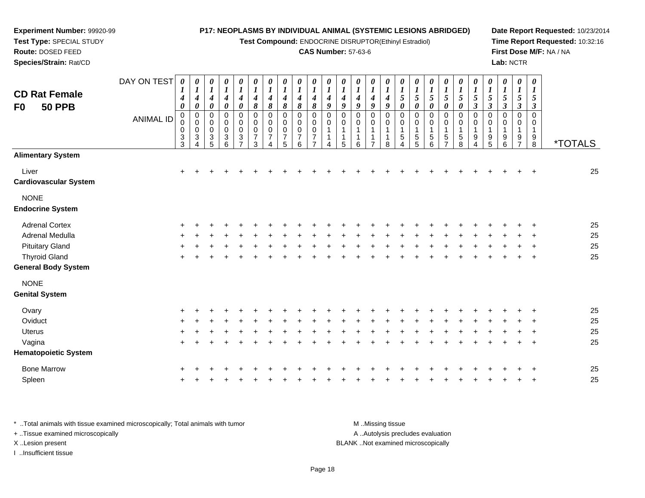**Test Compound:** ENDOCRINE DISRUPTOR(Ethinyl Estradiol)

#### **CAS Number:** 57-63-6

**Date Report Requested:** 10/23/2014**Time Report Requested:** 10:32:16**First Dose M/F:** NA / NA**Lab:** NCTR

| <b>CD Rat Female</b><br>F0<br><b>50 PPB</b> | DAY ON TEST<br><b>ANIMAL ID</b> | 0<br>4<br>0<br>0<br>0<br>0<br>$_3^3$ | $\boldsymbol{\theta}$<br>$\boldsymbol{l}$<br>$\boldsymbol{4}$<br>$\boldsymbol{\theta}$<br>$\pmb{0}$<br>0<br>0<br>3 | 0<br>$\boldsymbol{l}$<br>$\boldsymbol{4}$<br>$\pmb{\theta}$<br>$\pmb{0}$<br>0<br>0<br>3<br>5 | 0<br>$\boldsymbol{l}$<br>$\boldsymbol{4}$<br>0<br>0<br>0<br>0<br>3<br>6 | 0<br>$\boldsymbol{l}$<br>$\boldsymbol{4}$<br>$\pmb{\theta}$<br>0<br>$\pmb{0}$<br>0<br>$\sqrt{3}$<br>$\overline{7}$ | 0<br>$\boldsymbol{l}$<br>4<br>$\pmb{8}$<br>$\mathbf 0$<br>$\mathbf 0$<br>0<br>$\overline{7}$<br>3 | 0<br>$\boldsymbol{l}$<br>4<br>8<br>0<br>0<br>0<br>$\overline{7}$<br>4 | 0<br>$\boldsymbol{l}$<br>4<br>8<br>0<br>0<br>0<br>7<br>5 | 0<br>$\boldsymbol{l}$<br>4<br>8<br>0<br>0<br>0<br>7<br>6 | 0<br>$\boldsymbol{l}$<br>4<br>8<br>$\Omega$<br>0<br>0<br>7 | $\boldsymbol{\theta}$<br>1<br>4<br>9<br>0<br>0 | 0<br>1<br>4<br>9<br>$\Omega$<br>0<br>5 | 0<br>$\bm{l}$<br>4<br>9<br>$\Omega$<br>$\mathbf 0$<br>1<br>6 | 0<br>$\boldsymbol{l}$<br>4<br>9<br>$\Omega$<br>0<br>1<br>-1<br>$\overline{7}$ | 0<br>$\boldsymbol{l}$<br>4<br>9<br>$\Omega$<br>$\mathbf 0$<br>1<br>1<br>8 | 0<br>$\boldsymbol{l}$<br>5<br>$\pmb{\theta}$<br>0<br>0<br>$\mathbf{1}$<br>$\mathbf 5$<br>$\overline{4}$ | $\boldsymbol{\theta}$<br>$\boldsymbol{l}$<br>$\sqrt{5}$<br>$\boldsymbol{\theta}$<br>$\mathbf 0$<br>0<br>$\mathbf{1}$<br>$\sqrt{5}$<br>5 | 0<br>$\boldsymbol{l}$<br>$\mathfrak{s}$<br>$\pmb{\theta}$<br>0<br>0<br>$\mathbf{1}$<br>5<br>6 | $\boldsymbol{\theta}$<br>$\boldsymbol{l}$<br>5<br>$\pmb{\theta}$<br>0<br>0<br>1<br>$\mathbf 5$ | 0<br>$\boldsymbol{l}$<br>5<br>$\pmb{\theta}$<br>$\mathbf 0$<br>0<br>5<br>8 | 0<br>5<br>$\boldsymbol{\beta}$<br>0<br>0<br>9<br>4 | $\boldsymbol{\theta}$<br>$\boldsymbol{l}$<br>$\mathfrak{s}$<br>$\boldsymbol{\beta}$<br>$\Omega$<br>0<br>9<br>5 | $\boldsymbol{\theta}$<br>$\boldsymbol{l}$<br>5<br>$\boldsymbol{\beta}$<br>$\Omega$<br>$\mathbf 0$<br>1<br>9<br>6 | 0<br>$\boldsymbol{l}$<br>5<br>$\boldsymbol{\beta}$<br>$\mathbf 0$<br>0<br>$\mathbf{1}$<br>9<br>$\overline{ }$ | 0<br>$\boldsymbol{\mathit{1}}$<br>5<br>$\boldsymbol{\beta}$<br>$\Omega$<br>0<br>$\mathbf{1}$<br>$\frac{9}{8}$ | <i><b>*TOTALS</b></i> |
|---------------------------------------------|---------------------------------|--------------------------------------|--------------------------------------------------------------------------------------------------------------------|----------------------------------------------------------------------------------------------|-------------------------------------------------------------------------|--------------------------------------------------------------------------------------------------------------------|---------------------------------------------------------------------------------------------------|-----------------------------------------------------------------------|----------------------------------------------------------|----------------------------------------------------------|------------------------------------------------------------|------------------------------------------------|----------------------------------------|--------------------------------------------------------------|-------------------------------------------------------------------------------|---------------------------------------------------------------------------|---------------------------------------------------------------------------------------------------------|-----------------------------------------------------------------------------------------------------------------------------------------|-----------------------------------------------------------------------------------------------|------------------------------------------------------------------------------------------------|----------------------------------------------------------------------------|----------------------------------------------------|----------------------------------------------------------------------------------------------------------------|------------------------------------------------------------------------------------------------------------------|---------------------------------------------------------------------------------------------------------------|---------------------------------------------------------------------------------------------------------------|-----------------------|
| <b>Alimentary System</b>                    |                                 |                                      |                                                                                                                    |                                                                                              |                                                                         |                                                                                                                    |                                                                                                   |                                                                       |                                                          |                                                          |                                                            |                                                |                                        |                                                              |                                                                               |                                                                           |                                                                                                         |                                                                                                                                         |                                                                                               |                                                                                                |                                                                            |                                                    |                                                                                                                |                                                                                                                  |                                                                                                               |                                                                                                               |                       |
| Liver<br><b>Cardiovascular System</b>       |                                 | $\ddot{}$                            |                                                                                                                    |                                                                                              |                                                                         |                                                                                                                    |                                                                                                   |                                                                       |                                                          |                                                          |                                                            |                                                |                                        |                                                              |                                                                               |                                                                           |                                                                                                         |                                                                                                                                         |                                                                                               |                                                                                                |                                                                            |                                                    |                                                                                                                |                                                                                                                  |                                                                                                               |                                                                                                               | 25                    |
| <b>NONE</b><br><b>Endocrine System</b>      |                                 |                                      |                                                                                                                    |                                                                                              |                                                                         |                                                                                                                    |                                                                                                   |                                                                       |                                                          |                                                          |                                                            |                                                |                                        |                                                              |                                                                               |                                                                           |                                                                                                         |                                                                                                                                         |                                                                                               |                                                                                                |                                                                            |                                                    |                                                                                                                |                                                                                                                  |                                                                                                               |                                                                                                               |                       |
| <b>Adrenal Cortex</b>                       |                                 |                                      |                                                                                                                    |                                                                                              |                                                                         |                                                                                                                    |                                                                                                   |                                                                       |                                                          |                                                          |                                                            |                                                |                                        |                                                              |                                                                               |                                                                           |                                                                                                         |                                                                                                                                         |                                                                                               |                                                                                                |                                                                            |                                                    |                                                                                                                |                                                                                                                  |                                                                                                               |                                                                                                               | 25                    |
| <b>Adrenal Medulla</b>                      |                                 |                                      |                                                                                                                    |                                                                                              |                                                                         |                                                                                                                    |                                                                                                   |                                                                       |                                                          |                                                          |                                                            |                                                |                                        |                                                              |                                                                               |                                                                           |                                                                                                         |                                                                                                                                         |                                                                                               |                                                                                                |                                                                            |                                                    |                                                                                                                |                                                                                                                  |                                                                                                               |                                                                                                               | 25                    |
| <b>Pituitary Gland</b>                      |                                 |                                      |                                                                                                                    |                                                                                              |                                                                         |                                                                                                                    |                                                                                                   |                                                                       |                                                          |                                                          |                                                            |                                                |                                        |                                                              |                                                                               |                                                                           |                                                                                                         |                                                                                                                                         |                                                                                               |                                                                                                |                                                                            |                                                    |                                                                                                                |                                                                                                                  |                                                                                                               |                                                                                                               | 25                    |
| <b>Thyroid Gland</b>                        |                                 | ÷                                    |                                                                                                                    |                                                                                              |                                                                         |                                                                                                                    |                                                                                                   |                                                                       |                                                          |                                                          |                                                            |                                                |                                        |                                                              |                                                                               |                                                                           |                                                                                                         |                                                                                                                                         |                                                                                               |                                                                                                |                                                                            |                                                    |                                                                                                                |                                                                                                                  |                                                                                                               |                                                                                                               | 25                    |
| <b>General Body System</b>                  |                                 |                                      |                                                                                                                    |                                                                                              |                                                                         |                                                                                                                    |                                                                                                   |                                                                       |                                                          |                                                          |                                                            |                                                |                                        |                                                              |                                                                               |                                                                           |                                                                                                         |                                                                                                                                         |                                                                                               |                                                                                                |                                                                            |                                                    |                                                                                                                |                                                                                                                  |                                                                                                               |                                                                                                               |                       |
| <b>NONE</b><br><b>Genital System</b>        |                                 |                                      |                                                                                                                    |                                                                                              |                                                                         |                                                                                                                    |                                                                                                   |                                                                       |                                                          |                                                          |                                                            |                                                |                                        |                                                              |                                                                               |                                                                           |                                                                                                         |                                                                                                                                         |                                                                                               |                                                                                                |                                                                            |                                                    |                                                                                                                |                                                                                                                  |                                                                                                               |                                                                                                               |                       |
| Ovary                                       |                                 |                                      |                                                                                                                    |                                                                                              |                                                                         |                                                                                                                    |                                                                                                   |                                                                       |                                                          |                                                          |                                                            |                                                |                                        |                                                              |                                                                               |                                                                           |                                                                                                         |                                                                                                                                         |                                                                                               |                                                                                                |                                                                            |                                                    |                                                                                                                |                                                                                                                  |                                                                                                               |                                                                                                               | 25                    |
| Oviduct                                     |                                 |                                      |                                                                                                                    |                                                                                              |                                                                         |                                                                                                                    |                                                                                                   |                                                                       |                                                          |                                                          |                                                            |                                                |                                        |                                                              |                                                                               |                                                                           |                                                                                                         |                                                                                                                                         |                                                                                               |                                                                                                |                                                                            |                                                    |                                                                                                                |                                                                                                                  |                                                                                                               |                                                                                                               | 25                    |
| <b>Uterus</b>                               |                                 |                                      |                                                                                                                    |                                                                                              |                                                                         |                                                                                                                    |                                                                                                   |                                                                       |                                                          |                                                          |                                                            |                                                |                                        |                                                              |                                                                               |                                                                           |                                                                                                         |                                                                                                                                         |                                                                                               |                                                                                                |                                                                            |                                                    |                                                                                                                |                                                                                                                  |                                                                                                               |                                                                                                               | 25                    |
| Vagina                                      |                                 | $\pm$                                |                                                                                                                    |                                                                                              |                                                                         |                                                                                                                    |                                                                                                   |                                                                       |                                                          |                                                          |                                                            |                                                |                                        |                                                              |                                                                               |                                                                           |                                                                                                         |                                                                                                                                         |                                                                                               |                                                                                                |                                                                            |                                                    |                                                                                                                |                                                                                                                  |                                                                                                               | $\ddot{}$                                                                                                     | 25                    |
| <b>Hematopoietic System</b>                 |                                 |                                      |                                                                                                                    |                                                                                              |                                                                         |                                                                                                                    |                                                                                                   |                                                                       |                                                          |                                                          |                                                            |                                                |                                        |                                                              |                                                                               |                                                                           |                                                                                                         |                                                                                                                                         |                                                                                               |                                                                                                |                                                                            |                                                    |                                                                                                                |                                                                                                                  |                                                                                                               |                                                                                                               |                       |
| <b>Bone Marrow</b>                          |                                 | +                                    |                                                                                                                    |                                                                                              |                                                                         |                                                                                                                    |                                                                                                   |                                                                       |                                                          |                                                          |                                                            |                                                |                                        |                                                              |                                                                               |                                                                           |                                                                                                         |                                                                                                                                         |                                                                                               |                                                                                                |                                                                            |                                                    |                                                                                                                |                                                                                                                  |                                                                                                               |                                                                                                               | 25                    |
|                                             |                                 |                                      |                                                                                                                    |                                                                                              |                                                                         |                                                                                                                    |                                                                                                   |                                                                       |                                                          |                                                          |                                                            |                                                |                                        |                                                              |                                                                               |                                                                           |                                                                                                         |                                                                                                                                         |                                                                                               |                                                                                                |                                                                            |                                                    |                                                                                                                |                                                                                                                  |                                                                                                               |                                                                                                               |                       |

\* ..Total animals with tissue examined microscopically; Total animals with tumor **M** ...Missing tissue M ...Missing tissue A ..Autolysis precludes evaluation + ..Tissue examined microscopically X ..Lesion present BLANK ..Not examined microscopicallyI ..Insufficient tissue

**Experiment Number:** 99920-99**Test Type:** SPECIAL STUDY**Route:** DOSED FEED**Species/Strain:** Rat/CD

Spleen

n  $+$ 

<sup>+</sup> <sup>+</sup> <sup>+</sup> <sup>+</sup> <sup>+</sup> <sup>+</sup> <sup>+</sup> <sup>+</sup> <sup>+</sup> <sup>+</sup> <sup>+</sup> <sup>+</sup> <sup>+</sup> <sup>+</sup> <sup>+</sup> <sup>+</sup> <sup>+</sup> <sup>+</sup> <sup>+</sup> <sup>+</sup> <sup>+</sup> <sup>+</sup> <sup>+</sup> <sup>+</sup> <sup>25</sup>